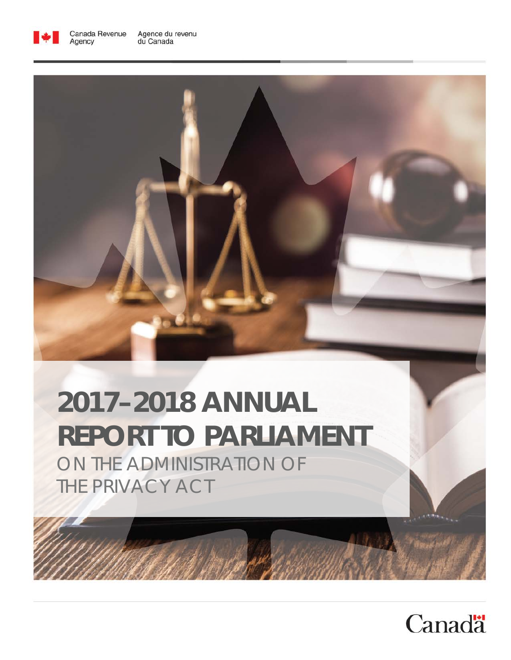

Agency



# **2017–2018 ANNUAL REPORT TO PARLIAMENT**

ON THE ADMINISTRATION OF THE PRIVACY ACT

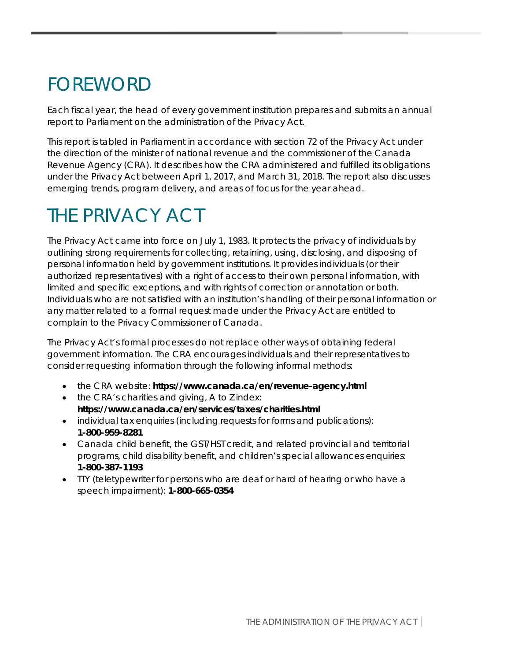## FOREWORD

Each fiscal year, the head of every government institution prepares and submits an annual report to Parliament on the administration of the Privacy Act.

This report is tabled in Parliament in accordance with section 72 of the Privacy Act under the direction of the minister of national revenue and the commissioner of the Canada Revenue Agency (CRA). It describes how the CRA administered and fulfilled its obligations under the Privacy Act between April 1, 2017, and March 31, 2018. The report also discusses emerging trends, program delivery, and areas of focus for the year ahead.

## THE PRIVACY ACT

The Privacy Act came into force on July 1, 1983. It protects the privacy of individuals by outlining strong requirements for collecting, retaining, using, disclosing, and disposing of personal information held by government institutions. It provides individuals (or their authorized representatives) with a right of access to their own personal information, with limited and specific exceptions, and with rights of correction or annotation or both. Individuals who are not satisfied with an institution's handling of their personal information or any matter related to a formal request made under the Privacy Act are entitled to complain to the Privacy Commissioner of Canada.

The Privacy Act's formal processes do not replace other ways of obtaining federal government information. The CRA encourages individuals and their representatives to consider requesting information through the following informal methods:

- the CRA website: **https://www.canada.ca/en/revenue-agency.html**
- the CRA's charities and giving, A to Z index: **https://www.canada.ca/en/services/taxes/charities.html**
- individual tax enquiries (including requests for forms and publications): **1-800-959-8281**
- Canada child benefit, the GST/HST credit, and related provincial and territorial programs, child disability benefit, and children's special allowances enquiries: **1-800-387-1193**
- TTY (teletypewriter for persons who are deaf or hard of hearing or who have a speech impairment): **1-800-665-0354**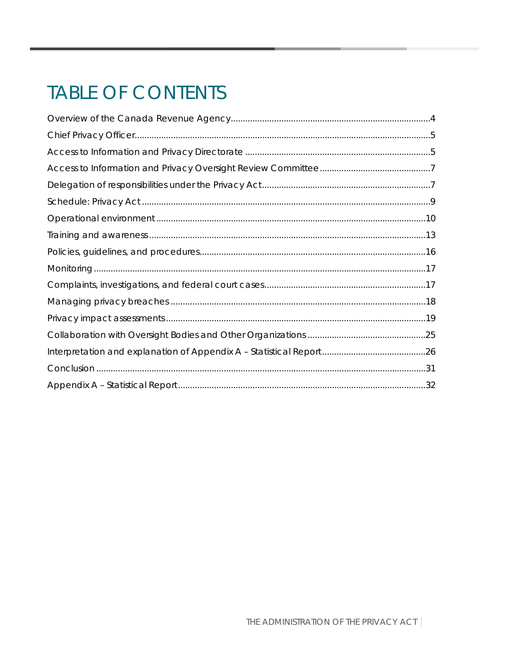## **TABLE OF CONTENTS**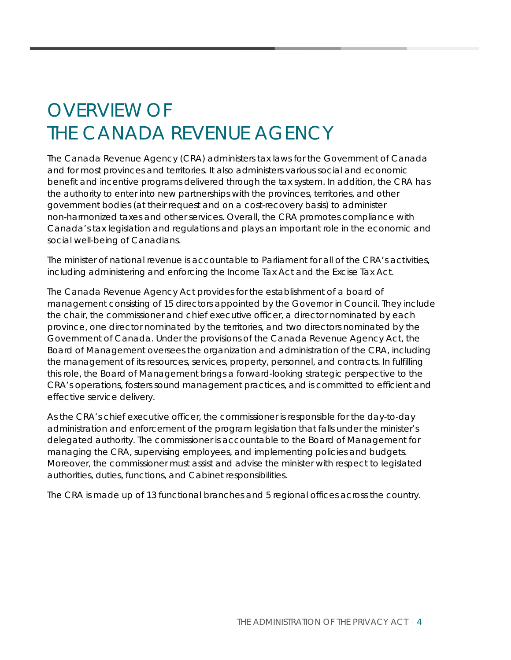## <span id="page-4-0"></span>OVERVIEW OF THE CANADA REVENUE AGENCY

The Canada Revenue Agency (CRA) administers tax laws for the Government of Canada and for most provinces and territories. It also administers various social and economic benefit and incentive programs delivered through the tax system. In addition, the CRA has the authority to enter into new partnerships with the provinces, territories, and other government bodies (at their request and on a cost-recovery basis) to administer non-harmonized taxes and other services. Overall, the CRA promotes compliance with Canada's tax legislation and regulations and plays an important role in the economic and social well-being of Canadians.

The minister of national revenue is accountable to Parliament for all of the CRA's activities, including administering and enforcing the Income Tax Act and the Excise Tax Act.

The Canada Revenue Agency Act provides for the establishment of a board of management consisting of 15 directors appointed by the Governor in Council. They include the chair, the commissioner and chief executive officer, a director nominated by each province, one director nominated by the territories, and two directors nominated by the Government of Canada. Under the provisions of the Canada Revenue Agency Act, the Board of Management oversees the organization and administration of the CRA, including the management of its resources, services, property, personnel, and contracts. In fulfilling this role, the Board of Management brings a forward-looking strategic perspective to the CRA's operations, fosters sound management practices, and is committed to efficient and effective service delivery.

As the CRA's chief executive officer, the commissioner is responsible for the day-to-day administration and enforcement of the program legislation that falls under the minister's delegated authority. The commissioner is accountable to the Board of Management for managing the CRA, supervising employees, and implementing policies and budgets. Moreover, the commissioner must assist and advise the minister with respect to legislated authorities, duties, functions, and Cabinet responsibilities.

The CRA is made up of 13 functional branches and 5 regional offices across the country.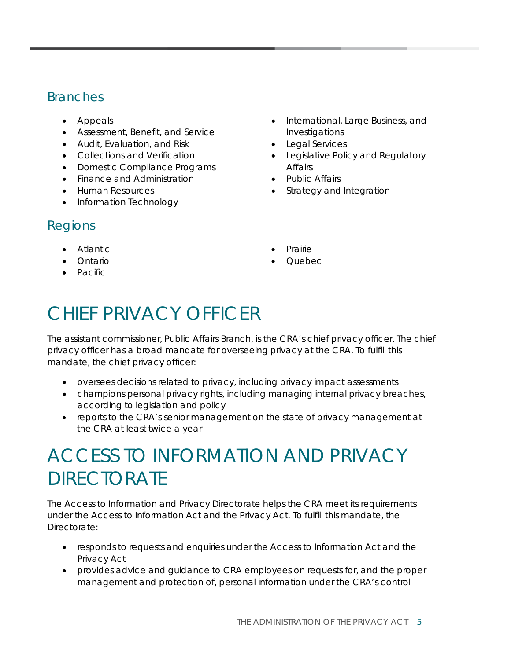## Branches

- Appeals
- Assessment, Benefit, and Service
- Audit, Evaluation, and Risk
- Collections and Verification
- Domestic Compliance Programs
- Finance and Administration
- Human Resources
- Information Technology

## Regions

- Atlantic
- Ontario
- Pacific
- International, Large Business, and Investigations
- Legal Services
- Legislative Policy and Regulatory Affairs
- Public Affairs
- Strategy and Integration
- Prairie
- Quebec

## <span id="page-5-0"></span>CHIEF PRIVACY OFFICER

The assistant commissioner, Public Affairs Branch, is the CRA's chief privacy officer. The chief privacy officer has a broad mandate for overseeing privacy at the CRA. To fulfill this mandate, the chief privacy officer:

- oversees decisions related to privacy, including privacy impact assessments
- champions personal privacy rights, including managing internal privacy breaches, according to legislation and policy
- reports to the CRA's senior management on the state of privacy management at the CRA at least twice a year

## <span id="page-5-1"></span>ACCESS TO INFORMATION AND PRIVACY **DIRECTORATE**

The Access to Information and Privacy Directorate helps the CRA meet its requirements under the Access to Information Act and the Privacy Act. To fulfill this mandate, the Directorate:

- responds to requests and enquiries under the Access to Information Act and the Privacy Act
- provides advice and guidance to CRA employees on requests for, and the proper management and protection of, personal information under the CRA's control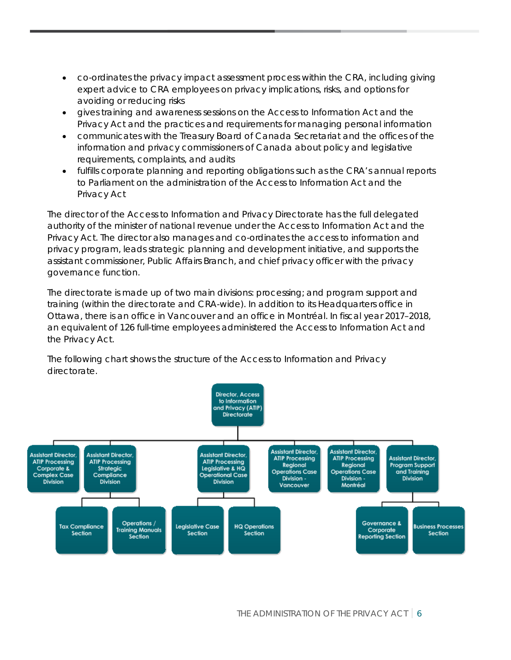- co-ordinates the privacy impact assessment process within the CRA, including giving expert advice to CRA employees on privacy implications, risks, and options for avoiding or reducing risks
- gives training and awareness sessions on the Access to Information Act and the Privacy Act and the practices and requirements for managing personal information
- communicates with the Treasury Board of Canada Secretariat and the offices of the information and privacy commissioners of Canada about policy and legislative requirements, complaints, and audits
- fulfills corporate planning and reporting obligations such as the CRA's annual reports to Parliament on the administration of the Access to Information Act and the Privacy Act

The director of the Access to Information and Privacy Directorate has the full delegated authority of the minister of national revenue under the Access to Information Act and the Privacy Act. The director also manages and co-ordinates the access to information and privacy program, leads strategic planning and development initiative, and supports the assistant commissioner, Public Affairs Branch, and chief privacy officer with the privacy governance function.

The directorate is made up of two main divisions: processing; and program support and training (within the directorate and CRA-wide). In addition to its Headquarters office in Ottawa, there is an office in Vancouver and an office in Montréal. In fiscal year 2017–2018, an equivalent of 126 full-time employees administered the Access to Information Act and the Privacy Act.

The following chart shows the structure of the Access to Information and Privacy directorate.

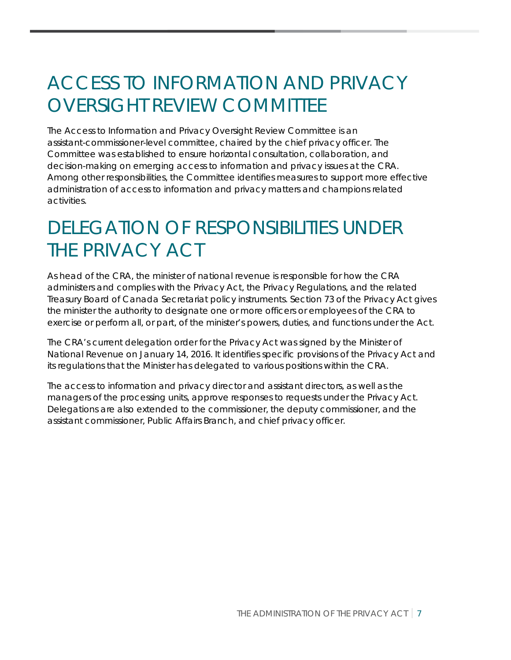## <span id="page-7-0"></span>ACCESS TO INFORMATION AND PRIVACY OVERSIGHT REVIEW COMMITTEE

The Access to Information and Privacy Oversight Review Committee is an assistant-commissioner-level committee, chaired by the chief privacy officer. The Committee was established to ensure horizontal consultation, collaboration, and decision-making on emerging access to information and privacy issues at the CRA. Among other responsibilities, the Committee identifies measures to support more effective administration of access to information and privacy matters and champions related activities.

## <span id="page-7-1"></span>DELEGATION OF RESPONSIBILITIES UNDER THE PRIVACY ACT

As head of the CRA, the minister of national revenue is responsible for how the CRA administers and complies with the Privacy Act, the Privacy Regulations, and the related Treasury Board of Canada Secretariat policy instruments. Section 73 of the Privacy Act gives the minister the authority to designate one or more officers or employees of the CRA to exercise or perform all, or part, of the minister's powers, duties, and functions under the Act.

The CRA's current delegation order for the Privacy Act was signed by the Minister of National Revenue on January 14, 2016. It identifies specific provisions of the Privacy Act and its regulations that the Minister has delegated to various positions within the CRA.

The access to information and privacy director and assistant directors, as well as the managers of the processing units, approve responses to requests under the Privacy Act. Delegations are also extended to the commissioner, the deputy commissioner, and the assistant commissioner, Public Affairs Branch, and chief privacy officer.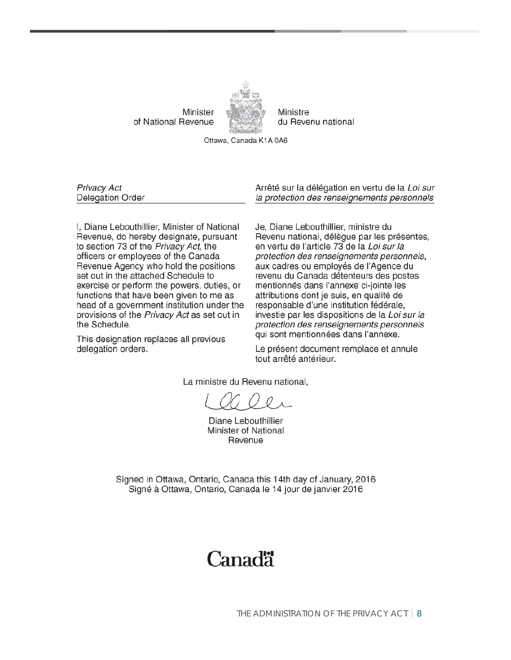Minister of National Revenue



Ministre du Revenu national

Ottawa, Canada K1A 0A6

Privacy Act Delegation Order

I, Diane Lebouthillier, Minister of National Revenue, do hereby designate, pursuant to section 73 of the Privacy Act, the officers or employees of the Canada Revenue Agency who hold the positions set out in the attached Schedule to exercise or perform the powers, duties, or functions that have been given to me as head of a government institution under the provisions of the Privacy Act as set out in the Schedule.

This designation replaces all previous delegation orders.

Arrêté sur la délégation en vertu de la Loi sur la protection des renseignements personnels

Je, Diane Lebouthillier, ministre du Revenu national, délègue par les présentes, en vertu de l'article 73 de la Loi sur la protection des renseignements personnels, aux cadres ou employés de l'Agence du revenu du Canada détenteurs des postes mentionnés dans l'annexe ci-jointe les attributions dont je suis, en qualité de responsable d'une institution fédérale, investie par les dispositions de la Loi sur la protection des renseignements personnels qui sont mentionnées dans l'annexe.

Le présent document remplace et annule tout arrêté antérieur.

La ministre du Revenu national.

Diane Lebouthillier Minister of National Revenue

Signed in Ottawa, Ontario, Canada this 14th day of January, 2016 Signé à Ottawa, Ontario, Canada le 14 jour de janvier 2016

## Canadä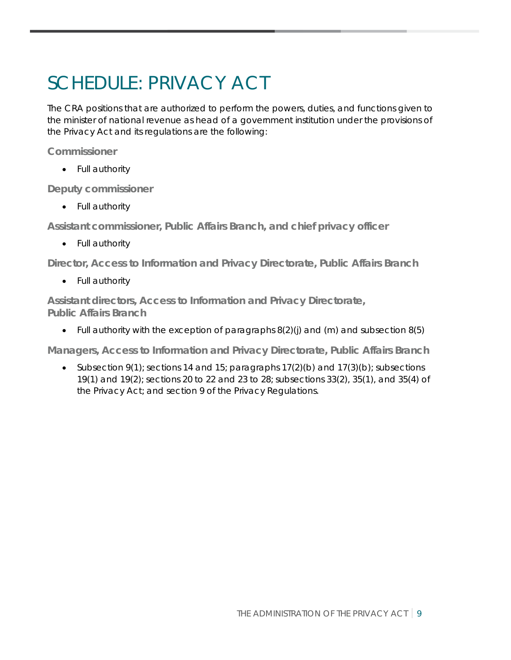## <span id="page-9-0"></span>SCHEDULE: PRIVACY ACT

The CRA positions that are authorized to perform the powers, duties, and functions given to the minister of national revenue as head of a government institution under the provisions of the Privacy Act and its regulations are the following:

**Commissioner**

• Full authority

**Deputy commissioner**

• Full authority

**Assistant commissioner, Public Affairs Branch, and chief privacy officer**

• Full authority

**Director, Access to Information and Privacy Directorate, Public Affairs Branch**

• Full authority

**Assistant directors, Access to Information and Privacy Directorate, Public Affairs Branch**

• Full authority with the exception of paragraphs 8(2)(j) and (m) and subsection 8(5)

**Managers, Access to Information and Privacy Directorate, Public Affairs Branch**

• Subsection 9(1); sections 14 and 15; paragraphs 17(2)(b) and 17(3)(b); subsections 19(1) and 19(2); sections 20 to 22 and 23 to 28; subsections 33(2), 35(1), and 35(4) of the Privacy Act; and section 9 of the Privacy Regulations.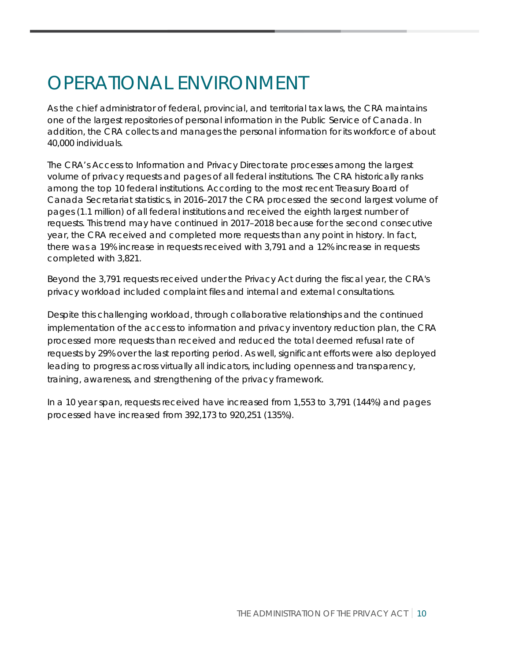## <span id="page-10-0"></span>OPERATIONAL ENVIRONMENT

As the chief administrator of federal, provincial, and territorial tax laws, the CRA maintains one of the largest repositories of personal information in the Public Service of Canada. In addition, the CRA collects and manages the personal information for its workforce of about 40,000 individuals.

The CRA's Access to Information and Privacy Directorate processes among the largest volume of privacy requests and pages of all federal institutions. The CRA historically ranks among the top 10 federal institutions. According to the most recent Treasury Board of Canada Secretariat statistics, in 2016–2017 the CRA processed the second largest volume of pages (1.1 million) of all federal institutions and received the eighth largest number of requests. This trend may have continued in 2017–2018 because for the second consecutive year, the CRA received and completed more requests than any point in history. In fact, there was a 19% increase in requests received with 3,791 and a 12% increase in requests completed with 3,821.

Beyond the 3,791 requests received under the Privacy Act during the fiscal year, the CRA's privacy workload included complaint files and internal and external consultations.

Despite this challenging workload, through collaborative relationships and the continued implementation of the access to information and privacy inventory reduction plan, the CRA processed more requests than received and reduced the total deemed refusal rate of requests by 29% over the last reporting period. As well, significant efforts were also deployed leading to progress across virtually all indicators, including openness and transparency, training, awareness, and strengthening of the privacy framework.

In a 10 year span, requests received have increased from 1,553 to 3,791 (144%) and pages processed have increased from 392,173 to 920,251 (135%).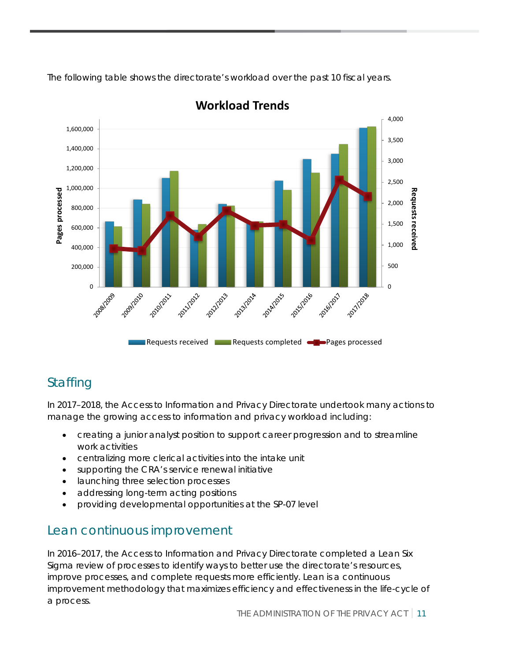The following table shows the directorate's workload over the past 10 fiscal years.



**Workload Trends**

## **Staffing**

In 2017–2018, the Access to Information and Privacy Directorate undertook many actions to manage the growing access to information and privacy workload including:

- creating a junior analyst position to support career progression and to streamline work activities
- centralizing more clerical activities into the intake unit
- supporting the CRA's service renewal initiative
- launching three selection processes
- addressing long-term acting positions
- providing developmental opportunities at the SP-07 level

### Lean continuous improvement

In 2016–2017, the Access to Information and Privacy Directorate completed a Lean Six Sigma review of processes to identify ways to better use the directorate's resources, improve processes, and complete requests more efficiently. Lean is a continuous improvement methodology that maximizes efficiency and effectiveness in the life-cycle of a process.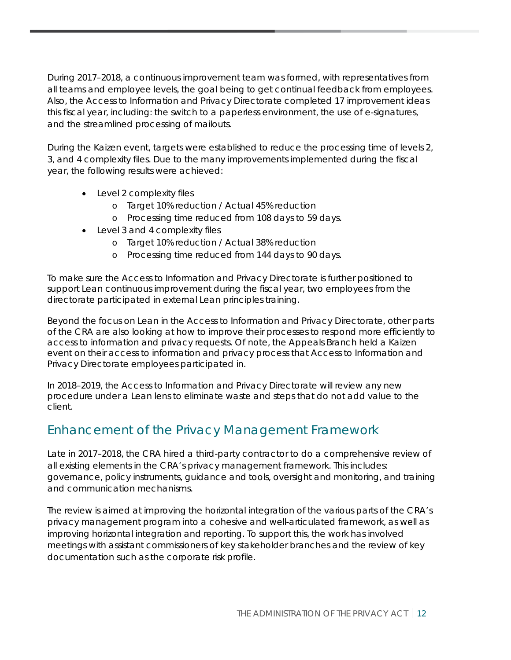During 2017–2018, a continuous improvement team was formed, with representatives from all teams and employee levels, the goal being to get continual feedback from employees. Also, the Access to Information and Privacy Directorate completed 17 improvement ideas this fiscal year, including: the switch to a paperless environment, the use of e-signatures, and the streamlined processing of mailouts.

During the Kaizen event, targets were established to reduce the processing time of levels 2, 3, and 4 complexity files. Due to the many improvements implemented during the fiscal year, the following results were achieved:

- Level 2 complexity files
	- o Target 10% reduction / Actual 45% reduction
	- o Processing time reduced from 108 days to 59 days.
- Level 3 and 4 complexity files
	- o Target 10% reduction / Actual 38% reduction
	- o Processing time reduced from 144 days to 90 days.

To make sure the Access to Information and Privacy Directorate is further positioned to support Lean continuous improvement during the fiscal year, two employees from the directorate participated in external Lean principles training.

Beyond the focus on Lean in the Access to Information and Privacy Directorate, other parts of the CRA are also looking at how to improve their processes to respond more efficiently to access to information and privacy requests. Of note, the Appeals Branch held a Kaizen event on their access to information and privacy process that Access to Information and Privacy Directorate employees participated in.

In 2018–2019, the Access to Information and Privacy Directorate will review any new procedure under a Lean lens to eliminate waste and steps that do not add value to the client.

## Enhancement of the Privacy Management Framework

Late in 2017–2018, the CRA hired a third-party contractor to do a comprehensive review of all existing elements in the CRA's privacy management framework. This includes: governance, policy instruments, guidance and tools, oversight and monitoring, and training and communication mechanisms.

The review is aimed at improving the horizontal integration of the various parts of the CRA's privacy management program into a cohesive and well-articulated framework, as well as improving horizontal integration and reporting. To support this, the work has involved meetings with assistant commissioners of key stakeholder branches and the review of key documentation such as the corporate risk profile.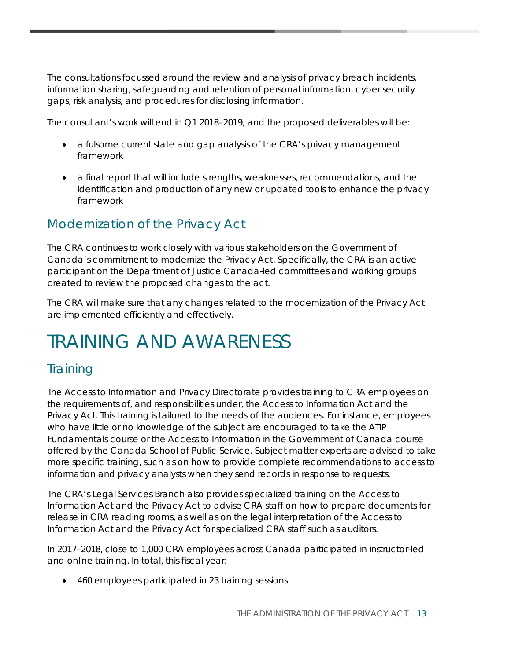The consultations focussed around the review and analysis of privacy breach incidents, information sharing, safeguarding and retention of personal information, cyber security gaps, risk analysis, and procedures for disclosing information.

The consultant's work will end in Q1 2018–2019, and the proposed deliverables will be:

- a fulsome current state and gap analysis of the CRA's privacy management framework
- a final report that will include strengths, weaknesses, recommendations, and the identification and production of any new or updated tools to enhance the privacy framework

## Modernization of the Privacy Act

The CRA continues to work closely with various stakeholders on the Government of Canada's commitment to modernize the Privacy Act. Specifically, the CRA is an active participant on the Department of Justice Canada-led committees and working groups created to review the proposed changes to the act.

The CRA will make sure that any changes related to the modernization of the Privacy Act are implemented efficiently and effectively.

## <span id="page-13-0"></span>TRAINING AND AWARENESS

## **Training**

The Access to Information and Privacy Directorate provides training to CRA employees on the requirements of, and responsibilities under, the Access to Information Act and the Privacy Act. This training is tailored to the needs of the audiences. For instance, employees who have little or no knowledge of the subject are encouraged to take the ATIP Fundamentals course or the Access to Information in the Government of Canada course offered by the Canada School of Public Service. Subject matter experts are advised to take more specific training, such as on how to provide complete recommendations to access to information and privacy analysts when they send records in response to requests.

The CRA's Legal Services Branch also provides specialized training on the Access to Information Act and the Privacy Act to advise CRA staff on how to prepare documents for release in CRA reading rooms, as well as on the legal interpretation of the Access to Information Act and the Privacy Act for specialized CRA staff such as auditors.

In 2017–2018, close to 1,000 CRA employees across Canada participated in instructor-led and online training. In total, this fiscal year:

• 460 employees participated in 23 training sessions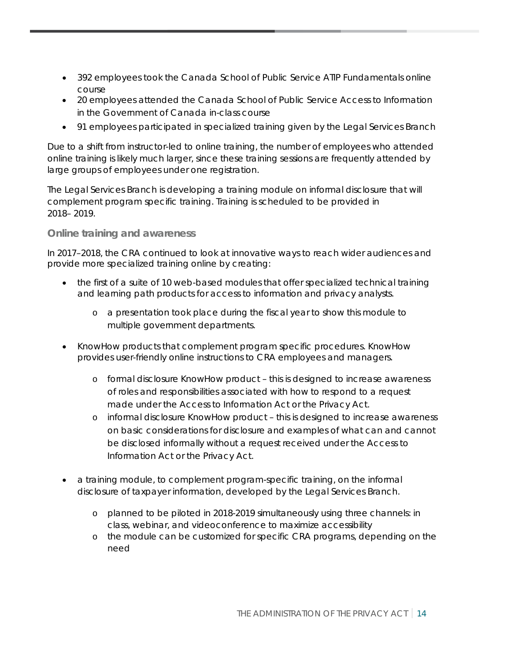- 392 employees took the Canada School of Public Service ATIP Fundamentals online course
- 20 employees attended the Canada School of Public Service Access to Information in the Government of Canada in-class course
- 91 employees participated in specialized training given by the Legal Services Branch

Due to a shift from instructor-led to online training, the number of employees who attended online training is likely much larger, since these training sessions are frequently attended by large groups of employees under one registration.

The Legal Services Branch is developing a training module on informal disclosure that will complement program specific training. Training is scheduled to be provided in 2018– 2019.

**Online training and awareness**

In 2017–2018, the CRA continued to look at innovative ways to reach wider audiences and provide more specialized training online by creating:

- the first of a suite of 10 web-based modules that offer specialized technical training and learning path products for access to information and privacy analysts.
	- o a presentation took place during the fiscal year to show this module to multiple government departments.
- KnowHow products that complement program specific procedures. KnowHow provides user-friendly online instructions to CRA employees and managers.
	- o formal disclosure KnowHow product this is designed to increase awareness of roles and responsibilities associated with how to respond to a request made under the Access to Information Act or the Privacy Act.
	- o informal disclosure KnowHow product this is designed to increase awareness on basic considerations for disclosure and examples of what can and cannot be disclosed informally without a request received under the Access to Information Act or the Privacy Act.
- a training module, to complement program-specific training, on the informal disclosure of taxpayer information, developed by the Legal Services Branch.
	- o planned to be piloted in 2018-2019 simultaneously using three channels: in class, webinar, and videoconference to maximize accessibility
	- o the module can be customized for specific CRA programs, depending on the need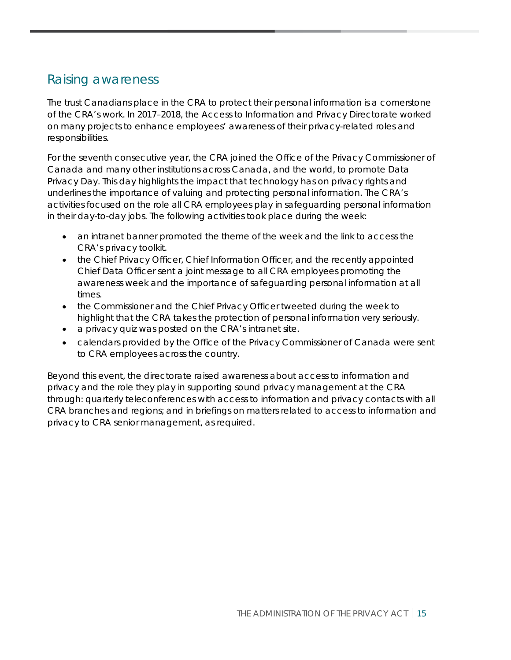## Raising awareness

The trust Canadians place in the CRA to protect their personal information is a cornerstone of the CRA's work. In 2017–2018, the Access to Information and Privacy Directorate worked on many projects to enhance employees' awareness of their privacy-related roles and responsibilities.

For the seventh consecutive year, the CRA joined the Office of the Privacy Commissioner of Canada and many other institutions across Canada, and the world, to promote Data Privacy Day. This day highlights the impact that technology has on privacy rights and underlines the importance of valuing and protecting personal information. The CRA's activities focused on the role all CRA employees play in safeguarding personal information in their day-to-day jobs. The following activities took place during the week:

- an intranet banner promoted the theme of the week and the link to access the CRA's privacy toolkit.
- the Chief Privacy Officer, Chief Information Officer, and the recently appointed Chief Data Officer sent a joint message to all CRA employees promoting the awareness week and the importance of safeguarding personal information at all times.
- the Commissioner and the Chief Privacy Officer tweeted during the week to highlight that the CRA takes the protection of personal information very seriously.
- a privacy quiz was posted on the CRA's intranet site.
- calendars provided by the Office of the Privacy Commissioner of Canada were sent to CRA employees across the country.

Beyond this event, the directorate raised awareness about access to information and privacy and the role they play in supporting sound privacy management at the CRA through: quarterly teleconferences with access to information and privacy contacts with all CRA branches and regions; and in briefings on matters related to access to information and privacy to CRA senior management, as required.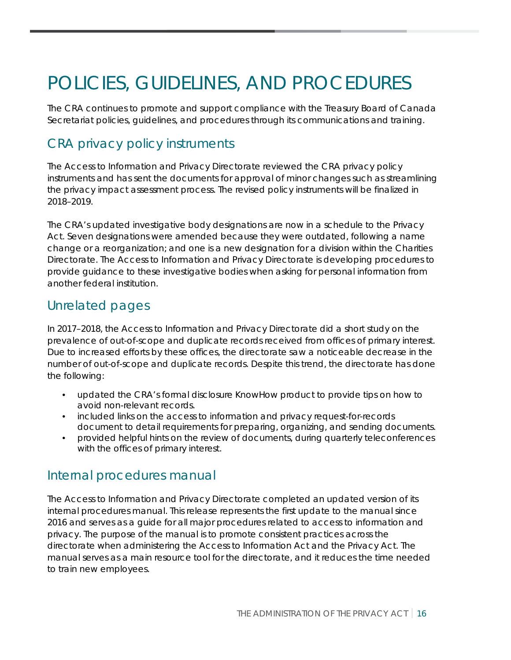## <span id="page-16-0"></span>POLICIES, GUIDELINES, AND PROCEDURES

The CRA continues to promote and support compliance with the Treasury Board of Canada Secretariat policies, guidelines, and procedures through its communications and training.

## CRA privacy policy instruments

The Access to Information and Privacy Directorate reviewed the CRA privacy policy instruments and has sent the documents for approval of minor changes such as streamlining the privacy impact assessment process. The revised policy instruments will be finalized in 2018–2019.

The CRA's updated investigative body designations are now in a schedule to the Privacy Act. Seven designations were amended because they were outdated, following a name change or a reorganization; and one is a new designation for a division within the Charities Directorate. The Access to Information and Privacy Directorate is developing procedures to provide guidance to these investigative bodies when asking for personal information from another federal institution.

### Unrelated pages

In 2017–2018, the Access to Information and Privacy Directorate did a short study on the prevalence of out-of-scope and duplicate records received from offices of primary interest. Due to increased efforts by these offices, the directorate saw a noticeable decrease in the number of out-of-scope and duplicate records. Despite this trend, the directorate has done the following:

- updated the CRA's formal disclosure KnowHow product to provide tips on how to avoid non-relevant records.
- included links on the access to information and privacy request-for-records document to detail requirements for preparing, organizing, and sending documents.
- provided helpful hints on the review of documents, during quarterly teleconferences with the offices of primary interest.

### Internal procedures manual

The Access to Information and Privacy Directorate completed an updated version of its internal procedures manual. This release represents the first update to the manual since 2016 and serves as a guide for all major procedures related to access to information and privacy. The purpose of the manual is to promote consistent practices across the directorate when administering the Access to Information Act and the Privacy Act. The manual serves as a main resource tool for the directorate, and it reduces the time needed to train new employees.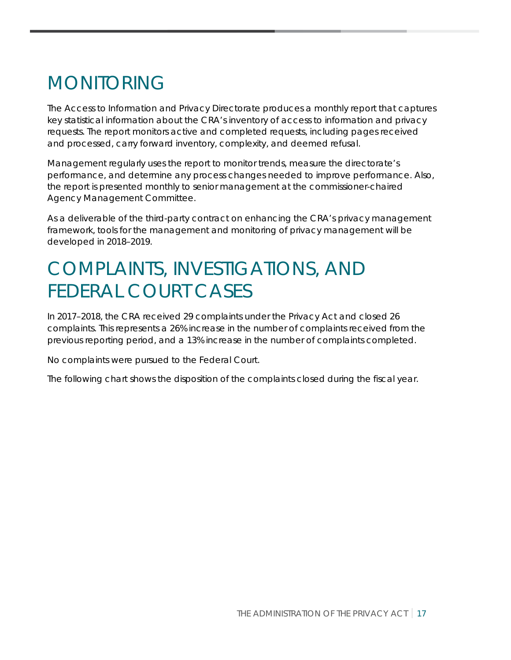## <span id="page-17-0"></span>MONITORING

The Access to Information and Privacy Directorate produces a monthly report that captures key statistical information about the CRA's inventory of access to information and privacy requests. The report monitors active and completed requests, including pages received and processed, carry forward inventory, complexity, and deemed refusal.

Management regularly uses the report to monitor trends, measure the directorate's performance, and determine any process changes needed to improve performance. Also, the report is presented monthly to senior management at the commissioner-chaired Agency Management Committee.

As a deliverable of the third-party contract on enhancing the CRA's privacy management framework, tools for the management and monitoring of privacy management will be developed in 2018–2019.

## <span id="page-17-1"></span>COMPLAINTS, INVESTIGATIONS, AND FEDERAL COURT CASES

In 2017–2018, the CRA received 29 complaints under the Privacy Act and closed 26 complaints. This represents a 26% increase in the number of complaints received from the previous reporting period, and a 13% increase in the number of complaints completed.

No complaints were pursued to the Federal Court.

The following chart shows the disposition of the complaints closed during the fiscal year.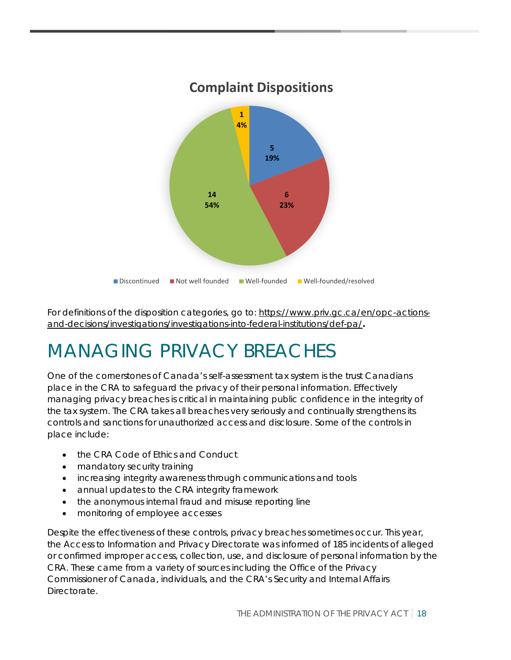

For definitions of the disposition categories, go to: [https://www.priv.gc.ca/en/opc-actions](https://www.priv.gc.ca/en/opc-actions-and-decisions/investigations/investigations-into-federal-institutions/def-pa/)[and-decisions/investigations/investigations-into-federal-institutions/def-pa/](https://www.priv.gc.ca/en/opc-actions-and-decisions/investigations/investigations-into-federal-institutions/def-pa/)**.**

## <span id="page-18-0"></span>MANAGING PRIVACY BREACHES

One of the cornerstones of Canada's self-assessment tax system is the trust Canadians place in the CRA to safeguard the privacy of their personal information. Effectively managing privacy breaches is critical in maintaining public confidence in the integrity of the tax system. The CRA takes all breaches very seriously and continually strengthens its controls and sanctions for unauthorized access and disclosure. Some of the controls in place include:

- the CRA Code of Ethics and Conduct
- mandatory security training
- increasing integrity awareness through communications and tools
- annual updates to the CRA integrity framework
- the anonymous internal fraud and misuse reporting line
- monitoring of employee accesses

Despite the effectiveness of these controls, privacy breaches sometimes occur. This year, the Access to Information and Privacy Directorate was informed of 185 incidents of alleged or confirmed improper access, collection, use, and disclosure of personal information by the CRA. These came from a variety of sources including the Office of the Privacy Commissioner of Canada, individuals, and the CRA's Security and Internal Affairs Directorate.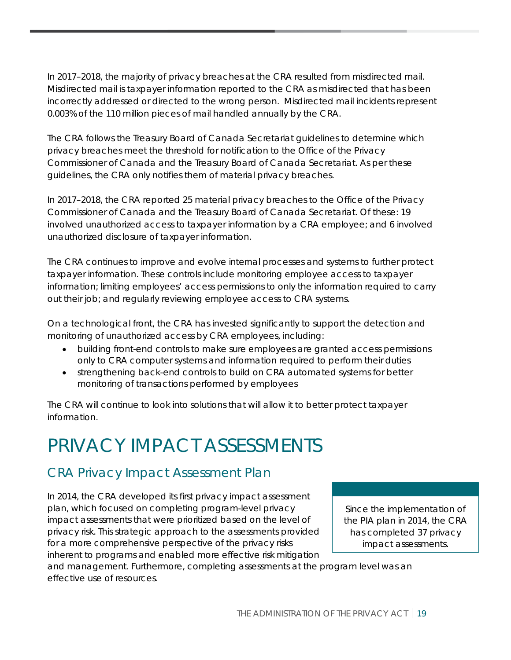In 2017–2018, the majority of privacy breaches at the CRA resulted from misdirected mail. Misdirected mail is taxpayer information reported to the CRA as misdirected that has been incorrectly addressed or directed to the wrong person. Misdirected mail incidents represent 0.003% of the 110 million pieces of mail handled annually by the CRA.

The CRA follows the Treasury Board of Canada Secretariat guidelines to determine which privacy breaches meet the threshold for notification to the Office of the Privacy Commissioner of Canada and the Treasury Board of Canada Secretariat. As per these guidelines, the CRA only notifies them of material privacy breaches.

In 2017–2018, the CRA reported 25 material privacy breaches to the Office of the Privacy Commissioner of Canada and the Treasury Board of Canada Secretariat. Of these: 19 involved unauthorized access to taxpayer information by a CRA employee; and 6 involved unauthorized disclosure of taxpayer information.

The CRA continues to improve and evolve internal processes and systems to further protect taxpayer information. These controls include monitoring employee access to taxpayer information; limiting employees' access permissions to only the information required to carry out their job; and regularly reviewing employee access to CRA systems.

On a technological front, the CRA has invested significantly to support the detection and monitoring of unauthorized access by CRA employees, including:

- building front-end controls to make sure employees are granted access permissions only to CRA computer systems and information required to perform their duties
- strengthening back-end controls to build on CRA automated systems for better monitoring of transactions performed by employees

The CRA will continue to look into solutions that will allow it to better protect taxpayer information.

## <span id="page-19-0"></span>PRIVACY IMPACT ASSESSMENTS

## CRA Privacy Impact Assessment Plan

In 2014, the CRA developed its first privacy impact assessment plan, which focused on completing program-level privacy impact assessments that were prioritized based on the level of privacy risk. This strategic approach to the assessments provided for a more comprehensive perspective of the privacy risks inherent to programs and enabled more effective risk mitigation

Since the implementation of the PIA plan in 2014, the CRA has completed 37 privacy impact assessments.

and management. Furthermore, completing assessments at the program level was an effective use of resources.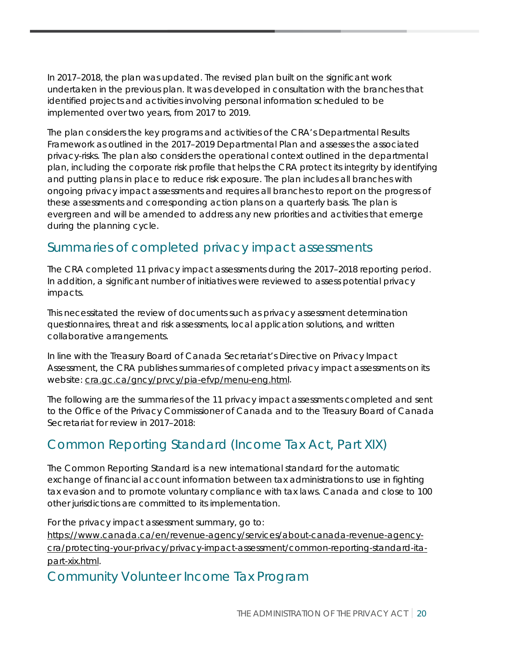In 2017–2018, the plan was updated. The revised plan built on the significant work undertaken in the previous plan. It was developed in consultation with the branches that identified projects and activities involving personal information scheduled to be implemented over two years, from 2017 to 2019.

The plan considers the key programs and activities of the CRA's Departmental Results Framework as outlined in the 2017–2019 Departmental Plan and assesses the associated privacy-risks. The plan also considers the operational context outlined in the departmental plan, including the corporate risk profile that helps the CRA protect its integrity by identifying and putting plans in place to reduce risk exposure. The plan includes all branches with ongoing privacy impact assessments and requires all branches to report on the progress of these assessments and corresponding action plans on a quarterly basis. The plan is evergreen and will be amended to address any new priorities and activities that emerge during the planning cycle.

## Summaries of completed privacy impact assessments

The CRA completed 11 privacy impact assessments during the 2017–2018 reporting period. In addition, a significant number of initiatives were reviewed to assess potential privacy impacts.

This necessitated the review of documents such as privacy assessment determination questionnaires, threat and risk assessments, local application solutions, and written collaborative arrangements.

In line with the Treasury Board of Canada Secretariat's Directive on Privacy Impact Assessment, the CRA publishes summaries of completed privacy impact assessments on its website: [cra.gc.ca/gncy/prvcy/pia-efvp/menu-eng.html.](https://www.canada.ca/en/revenue-agency/services/about-canada-revenue-agency-cra/protecting-your-privacy/privacy-impact-assessment.html)

The following are the summaries of the 11 privacy impact assessments completed and sent to the Office of the Privacy Commissioner of Canada and to the Treasury Board of Canada Secretariat for review in 2017–2018:

## Common Reporting Standard (Income Tax Act, Part XIX)

The Common Reporting Standard is a new international standard for the automatic exchange of financial account information between tax administrations to use in fighting tax evasion and to promote voluntary compliance with tax laws. Canada and close to 100 other jurisdictions are committed to its implementation.

For the privacy impact assessment summary, go to: [https://www.canada.ca/en/revenue-agency/services/about-canada-revenue-agency](https://www.canada.ca/en/revenue-agency/services/about-canada-revenue-agency-cra/protecting-your-privacy/privacy-impact-assessment/common-reporting-standard-ita-part-xix.html)[cra/protecting-your-privacy/privacy-impact-assessment/common-reporting-standard-ita](https://www.canada.ca/en/revenue-agency/services/about-canada-revenue-agency-cra/protecting-your-privacy/privacy-impact-assessment/common-reporting-standard-ita-part-xix.html)[part-xix.html.](https://www.canada.ca/en/revenue-agency/services/about-canada-revenue-agency-cra/protecting-your-privacy/privacy-impact-assessment/common-reporting-standard-ita-part-xix.html)

### Community Volunteer Income Tax Program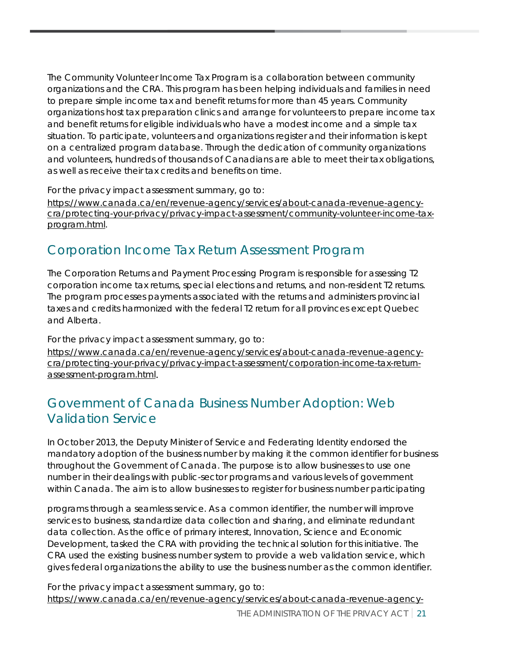The Community Volunteer Income Tax Program is a collaboration between community organizations and the CRA. This program has been helping individuals and families in need to prepare simple income tax and benefit returns for more than 45 years. Community organizations host tax preparation clinics and arrange for volunteers to prepare income tax and benefit returns for eligible individuals who have a modest income and a simple tax situation. To participate, volunteers and organizations register and their information is kept on a centralized program database. Through the dedication of community organizations and volunteers, hundreds of thousands of Canadians are able to meet their tax obligations, as well as receive their tax credits and benefits on time.

For the privacy impact assessment summary, go to:

[https://www.canada.ca/en/revenue-agency/services/about-canada-revenue-agency](https://www.canada.ca/en/revenue-agency/services/about-canada-revenue-agency-cra/protecting-your-privacy/privacy-impact-assessment/community-volunteer-income-tax-program.html)[cra/protecting-your-privacy/privacy-impact-assessment/community-volunteer-income-tax](https://www.canada.ca/en/revenue-agency/services/about-canada-revenue-agency-cra/protecting-your-privacy/privacy-impact-assessment/community-volunteer-income-tax-program.html)[program.html.](https://www.canada.ca/en/revenue-agency/services/about-canada-revenue-agency-cra/protecting-your-privacy/privacy-impact-assessment/community-volunteer-income-tax-program.html)

## Corporation Income Tax Return Assessment Program

The Corporation Returns and Payment Processing Program is responsible for assessing T2 corporation income tax returns, special elections and returns, and non-resident T2 returns. The program processes payments associated with the returns and administers provincial taxes and credits harmonized with the federal T2 return for all provinces except Quebec and Alberta.

For the privacy impact assessment summary, go to:

[https://www.canada.ca/en/revenue-agency/services/about-canada-revenue-agency](https://www.canada.ca/en/revenue-agency/services/about-canada-revenue-agency-cra/protecting-your-privacy/privacy-impact-assessment/corporation-income-tax-return-assessment-program.html)[cra/protecting-your-privacy/privacy-impact-assessment/corporation-income-tax-return](https://www.canada.ca/en/revenue-agency/services/about-canada-revenue-agency-cra/protecting-your-privacy/privacy-impact-assessment/corporation-income-tax-return-assessment-program.html)[assessment-program.html.](https://www.canada.ca/en/revenue-agency/services/about-canada-revenue-agency-cra/protecting-your-privacy/privacy-impact-assessment/corporation-income-tax-return-assessment-program.html)

## Government of Canada Business Number Adoption: Web Validation Service

In October 2013, the Deputy Minister of Service and Federating Identity endorsed the mandatory adoption of the business number by making it the common identifier for business throughout the Government of Canada. The purpose is to allow businesses to use one number in their dealings with public-sector programs and various levels of government within Canada. The aim is to allow businesses to register for business number participating

programs through a seamless service. As a common identifier, the number will improve services to business, standardize data collection and sharing, and eliminate redundant data collection. As the office of primary interest, Innovation, Science and Economic Development, tasked the CRA with providing the technical solution for this initiative. The CRA used the existing business number system to provide a web validation service, which gives federal organizations the ability to use the business number as the common identifier.

For the privacy impact assessment summary, go to: [https://www.canada.ca/en/revenue-agency/services/about-canada-revenue-agency-](https://www.canada.ca/en/revenue-agency/services/about-canada-revenue-agency-cra/protecting-your-privacy/privacy-impact-assessment/government-of-canada-business-number-adoption-web-validation-service-summary.html)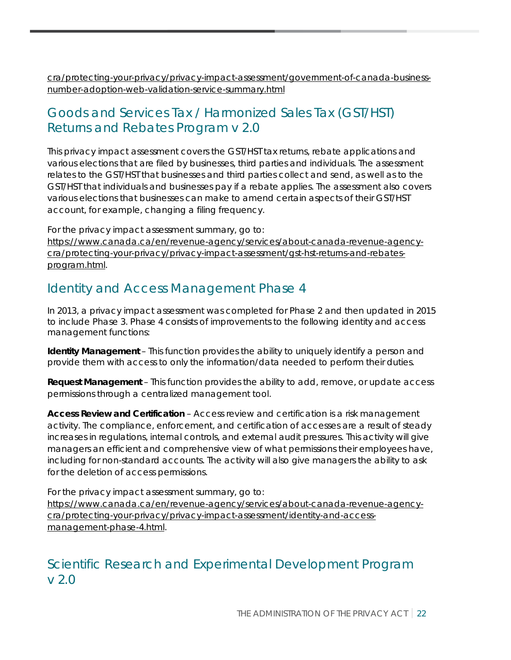[cra/protecting-your-privacy/privacy-impact-assessment/government-of-canada-business](https://www.canada.ca/en/revenue-agency/services/about-canada-revenue-agency-cra/protecting-your-privacy/privacy-impact-assessment/government-of-canada-business-number-adoption-web-validation-service-summary.html)[number-adoption-web-validation-service-summary.html](https://www.canada.ca/en/revenue-agency/services/about-canada-revenue-agency-cra/protecting-your-privacy/privacy-impact-assessment/government-of-canada-business-number-adoption-web-validation-service-summary.html)

## Goods and Services Tax / Harmonized Sales Tax (GST/HST) Returns and Rebates Program v 2.0

This privacy impact assessment covers the GST/HST tax returns, rebate applications and various elections that are filed by businesses, third parties and individuals. The assessment relates to the GST/HST that businesses and third parties collect and send, as well as to the GST/HST that individuals and businesses pay if a rebate applies. The assessment also covers various elections that businesses can make to amend certain aspects of their GST/HST account, for example, changing a filing frequency.

For the privacy impact assessment summary, go to: [https://www.canada.ca/en/revenue-agency/services/about-canada-revenue-agency](https://www.canada.ca/en/revenue-agency/services/about-canada-revenue-agency-cra/protecting-your-privacy/privacy-impact-assessment/gst-hst-returns-and-rebates-program.html)[cra/protecting-your-privacy/privacy-impact-assessment/gst-hst-returns-and-rebates-](https://www.canada.ca/en/revenue-agency/services/about-canada-revenue-agency-cra/protecting-your-privacy/privacy-impact-assessment/gst-hst-returns-and-rebates-program.html)

## Identity and Access Management Phase 4

[program.html.](https://www.canada.ca/en/revenue-agency/services/about-canada-revenue-agency-cra/protecting-your-privacy/privacy-impact-assessment/gst-hst-returns-and-rebates-program.html)

In 2013, a privacy impact assessment was completed for Phase 2 and then updated in 2015 to include Phase 3. Phase 4 consists of improvements to the following identity and access management functions:

**Identity Management** – This function provides the ability to uniquely identify a person and provide them with access to only the information/data needed to perform their duties.

**Request Management** – This function provides the ability to add, remove, or update access permissions through a centralized management tool.

**Access Review and Certification** – Access review and certification is a risk management activity. The compliance, enforcement, and certification of accesses are a result of steady increases in regulations, internal controls, and external audit pressures. This activity will give managers an efficient and comprehensive view of what permissions their employees have, including for non-standard accounts. The activity will also give managers the ability to ask for the deletion of access permissions.

For the privacy impact assessment summary, go to: [https://www.canada.ca/en/revenue-agency/services/about-canada-revenue-agency](https://www.canada.ca/en/revenue-agency/services/about-canada-revenue-agency-cra/protecting-your-privacy/privacy-impact-assessment/identity-and-access-management-phase-4.html)[cra/protecting-your-privacy/privacy-impact-assessment/identity-and-access](https://www.canada.ca/en/revenue-agency/services/about-canada-revenue-agency-cra/protecting-your-privacy/privacy-impact-assessment/identity-and-access-management-phase-4.html)[management-phase-4.html.](https://www.canada.ca/en/revenue-agency/services/about-canada-revenue-agency-cra/protecting-your-privacy/privacy-impact-assessment/identity-and-access-management-phase-4.html)

## Scientific Research and Experimental Development Program v 2.0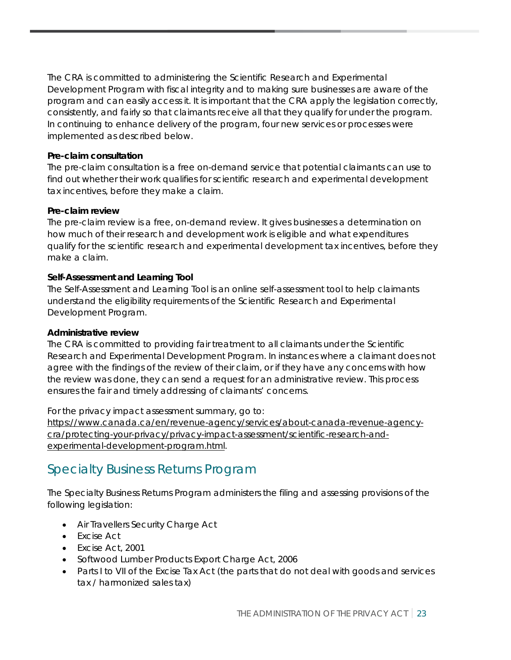The CRA is committed to administering the Scientific Research and Experimental Development Program with fiscal integrity and to making sure businesses are aware of the program and can easily access it. It is important that the CRA apply the legislation correctly, consistently, and fairly so that claimants receive all that they qualify for under the program. In continuing to enhance delivery of the program, four new services or processes were implemented as described below.

#### **Pre-claim consultation**

The pre-claim consultation is a free on-demand service that potential claimants can use to find out whether their work qualifies for scientific research and experimental development tax incentives, before they make a claim.

#### **Pre-claim review**

The pre-claim review is a free, on-demand review. It gives businesses a determination on how much of their research and development work is eligible and what expenditures qualify for the scientific research and experimental development tax incentives, before they make a claim.

#### **Self-Assessment and Learning Tool**

The Self-Assessment and Learning Tool is an online self-assessment tool to help claimants understand the eligibility requirements of the Scientific Research and Experimental Development Program.

#### **Administrative review**

The CRA is committed to providing fair treatment to all claimants under the Scientific Research and Experimental Development Program. In instances where a claimant does not agree with the findings of the review of their claim, or if they have any concerns with how the review was done, they can send a request for an administrative review. This process ensures the fair and timely addressing of claimants' concerns.

For the privacy impact assessment summary, go to:

[https://www.canada.ca/en/revenue-agency/services/about-canada-revenue-agency](https://www.canada.ca/en/revenue-agency/services/about-canada-revenue-agency-cra/protecting-your-privacy/privacy-impact-assessment/scientific-research-and-experimental-development-program.html)[cra/protecting-your-privacy/privacy-impact-assessment/scientific-research-and](https://www.canada.ca/en/revenue-agency/services/about-canada-revenue-agency-cra/protecting-your-privacy/privacy-impact-assessment/scientific-research-and-experimental-development-program.html)[experimental-development-program.html.](https://www.canada.ca/en/revenue-agency/services/about-canada-revenue-agency-cra/protecting-your-privacy/privacy-impact-assessment/scientific-research-and-experimental-development-program.html)

### Specialty Business Returns Program

The Specialty Business Returns Program administers the filing and assessing provisions of the following legislation:

- Air Travellers Security Charge Act
- Excise Act
- Excise Act, 2001
- Softwood Lumber Products Export Charge Act, 2006
- Parts I to VII of the Excise Tax Act (the parts that do not deal with goods and services tax / harmonized sales tax)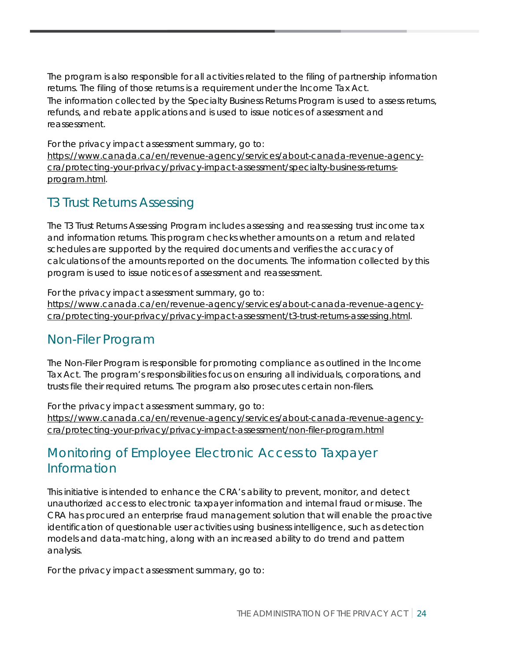The program is also responsible for all activities related to the filing of partnership information returns. The filing of those returns is a requirement under the Income Tax Act. The information collected by the Specialty Business Returns Program is used to assess returns, refunds, and rebate applications and is used to issue notices of assessment and reassessment.

For the privacy impact assessment summary, go to:

[https://www.canada.ca/en/revenue-agency/services/about-canada-revenue-agency](https://www.canada.ca/en/revenue-agency/services/about-canada-revenue-agency-cra/protecting-your-privacy/privacy-impact-assessment/specialty-business-returns-program.html)[cra/protecting-your-privacy/privacy-impact-assessment/specialty-business-returns](https://www.canada.ca/en/revenue-agency/services/about-canada-revenue-agency-cra/protecting-your-privacy/privacy-impact-assessment/specialty-business-returns-program.html)[program.html.](https://www.canada.ca/en/revenue-agency/services/about-canada-revenue-agency-cra/protecting-your-privacy/privacy-impact-assessment/specialty-business-returns-program.html)

### T3 Trust Returns Assessing

The T3 Trust Returns Assessing Program includes assessing and reassessing trust income tax and information returns. This program checks whether amounts on a return and related schedules are supported by the required documents and verifies the accuracy of calculations of the amounts reported on the documents. The information collected by this program is used to issue notices of assessment and reassessment.

For the privacy impact assessment summary, go to: [https://www.canada.ca/en/revenue-agency/services/about-canada-revenue-agency](https://www.canada.ca/en/revenue-agency/services/about-canada-revenue-agency-cra/protecting-your-privacy/privacy-impact-assessment/t3-trust-returns-assessing.html)[cra/protecting-your-privacy/privacy-impact-assessment/t3-trust-returns-assessing.html.](https://www.canada.ca/en/revenue-agency/services/about-canada-revenue-agency-cra/protecting-your-privacy/privacy-impact-assessment/t3-trust-returns-assessing.html)

### Non-Filer Program

The Non-Filer Program is responsible for promoting compliance as outlined in the Income Tax Act. The program's responsibilities focus on ensuring all individuals, corporations, and trusts file their required returns. The program also prosecutes certain non-filers.

For the privacy impact assessment summary, go to: [https://www.canada.ca/en/revenue-agency/services/about-canada-revenue-agency](https://www.canada.ca/en/revenue-agency/services/about-canada-revenue-agency-cra/protecting-your-privacy/privacy-impact-assessment/non-filer-program.html)[cra/protecting-your-privacy/privacy-impact-assessment/non-filer-program.html](https://www.canada.ca/en/revenue-agency/services/about-canada-revenue-agency-cra/protecting-your-privacy/privacy-impact-assessment/non-filer-program.html)

## Monitoring of Employee Electronic Access to Taxpayer Information

This initiative is intended to enhance the CRA's ability to prevent, monitor, and detect unauthorized access to electronic taxpayer information and internal fraud or misuse. The CRA has procured an enterprise fraud management solution that will enable the proactive identification of questionable user activities using business intelligence, such as detection models and data-matching, along with an increased ability to do trend and pattern analysis.

For the privacy impact assessment summary, go to: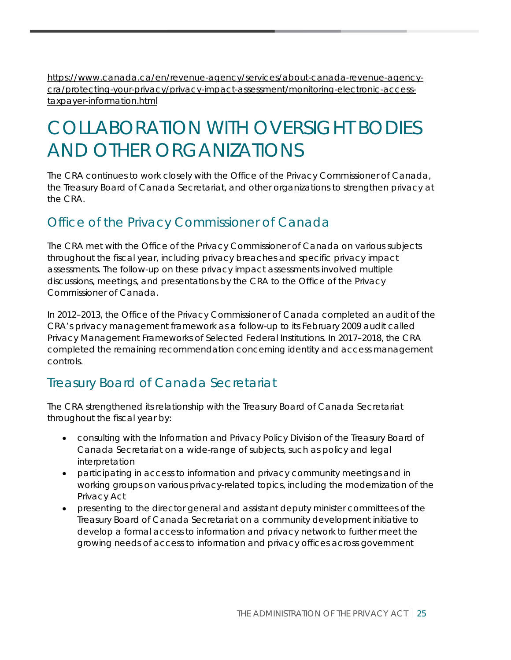[https://www.canada.ca/en/revenue-agency/services/about-canada-revenue-agency](https://www.canada.ca/en/revenue-agency/services/about-canada-revenue-agency-cra/protecting-your-privacy/privacy-impact-assessment/monitoring-electronic-access-taxpayer-information.html)[cra/protecting-your-privacy/privacy-impact-assessment/monitoring-electronic-access](https://www.canada.ca/en/revenue-agency/services/about-canada-revenue-agency-cra/protecting-your-privacy/privacy-impact-assessment/monitoring-electronic-access-taxpayer-information.html)[taxpayer-information.html](https://www.canada.ca/en/revenue-agency/services/about-canada-revenue-agency-cra/protecting-your-privacy/privacy-impact-assessment/monitoring-electronic-access-taxpayer-information.html)

## <span id="page-25-0"></span>COLLABORATION WITH OVERSIGHT BODIES AND OTHER ORGANIZATIONS

The CRA continues to work closely with the Office of the Privacy Commissioner of Canada, the Treasury Board of Canada Secretariat, and other organizations to strengthen privacy at the CRA.

### Office of the Privacy Commissioner of Canada

The CRA met with the Office of the Privacy Commissioner of Canada on various subjects throughout the fiscal year, including privacy breaches and specific privacy impact assessments. The follow-up on these privacy impact assessments involved multiple discussions, meetings, and presentations by the CRA to the Office of the Privacy Commissioner of Canada.

In 2012–2013, the Office of the Privacy Commissioner of Canada completed an audit of the CRA's privacy management framework as a follow-up to its February 2009 audit called Privacy Management Frameworks of Selected Federal Institutions. In 2017–2018, the CRA completed the remaining recommendation concerning identity and access management controls.

## Treasury Board of Canada Secretariat

The CRA strengthened its relationship with the Treasury Board of Canada Secretariat throughout the fiscal year by:

- consulting with the Information and Privacy Policy Division of the Treasury Board of Canada Secretariat on a wide-range of subjects, such as policy and legal interpretation
- participating in access to information and privacy community meetings and in working groups on various privacy-related topics, including the modernization of the Privacy Act
- <span id="page-25-1"></span>• presenting to the director general and assistant deputy minister committees of the Treasury Board of Canada Secretariat on a community development initiative to develop a formal access to information and privacy network to further meet the growing needs of access to information and privacy offices across government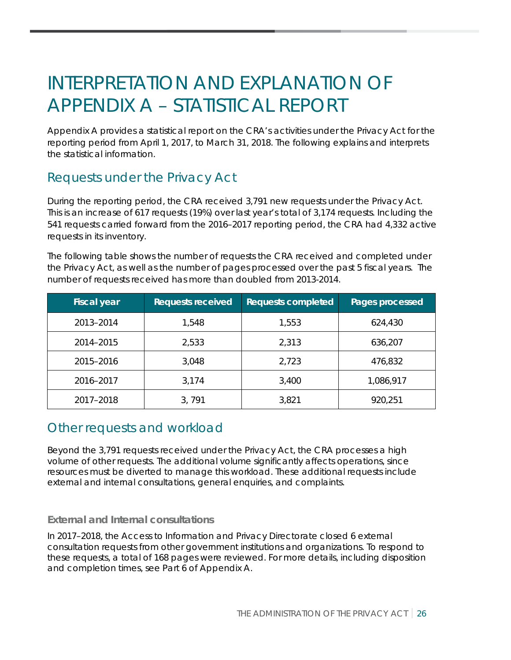## INTERPRETATION AND EXPLANATION OF APPENDIX A – STATISTICAL REPORT

Appendix A provides a statistical report on the CRA's activities under the Privacy Act for the reporting period from April 1, 2017, to March 31, 2018. The following explains and interprets the statistical information.

## Requests under the Privacy Act

During the reporting period, the CRA received 3,791 new requests under the Privacy Act. This is an increase of 617 requests (19%) over last year's total of 3,174 requests. Including the 541 requests carried forward from the 2016–2017 reporting period, the CRA had 4,332 active requests in its inventory.

The following table shows the number of requests the CRA received and completed under the Privacy Act, as well as the number of pages processed over the past 5 fiscal years. The number of requests received has more than doubled from 2013-2014.

| <b>Fiscal year</b> | <b>Requests received</b> | <b>Requests completed</b> | Pages processed |
|--------------------|--------------------------|---------------------------|-----------------|
| 2013-2014          | 1,548                    | 1,553                     | 624,430         |
| 2014-2015          | 2,533                    | 2,313                     | 636,207         |
| 2015-2016          | 3,048                    | 2,723                     | 476,832         |
| 2016-2017          | 3,174                    | 3,400                     | 1,086,917       |
| 2017-2018          | 3,791                    | 3,821                     | 920,251         |

### Other requests and workload

Beyond the 3,791 requests received under the Privacy Act, the CRA processes a high volume of other requests. The additional volume significantly affects operations, since resources must be diverted to manage this workload. These additional requests include external and internal consultations, general enquiries, and complaints.

#### **External and Internal consultations**

In 2017–2018, the Access to Information and Privacy Directorate closed 6 external consultation requests from other government institutions and organizations. To respond to these requests, a total of 168 pages were reviewed. For more details, including disposition and completion times, see Part 6 of Appendix A.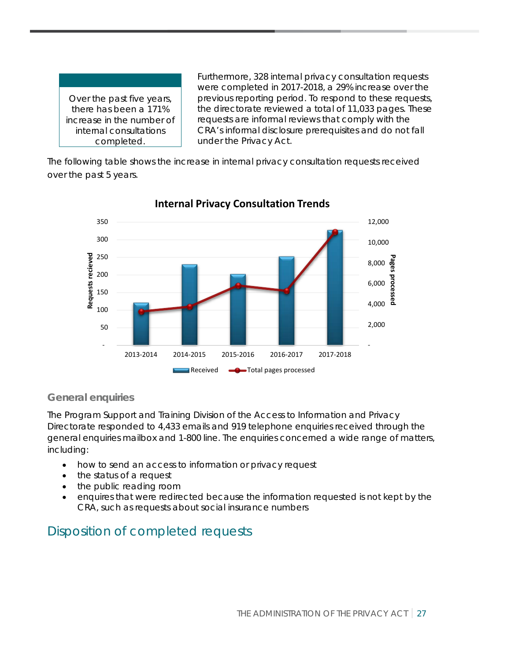Over the past five years, there has been a 171% increase in the number of internal consultations completed.

Furthermore, 328 internal privacy consultation requests were completed in 2017-2018, a 29% increase over the previous reporting period. To respond to these requests, the directorate reviewed a total of 11,033 pages. These requests are informal reviews that comply with the CRA's informal disclosure prerequisites and do not fall under the Privacy Act.

The following table shows the increase in internal privacy consultation requests received over the past 5 years.



#### **Internal Privacy Consultation Trends**

#### **General enquiries**

The Program Support and Training Division of the Access to Information and Privacy Directorate responded to 4,433 emails and 919 telephone enquiries received through the general enquiries mailbox and 1-800 line. The enquiries concerned a wide range of matters, including:

- how to send an access to information or privacy request
- the status of a request
- the public reading room
- enquires that were redirected because the information requested is not kept by the CRA, such as requests about social insurance numbers

## Disposition of completed requests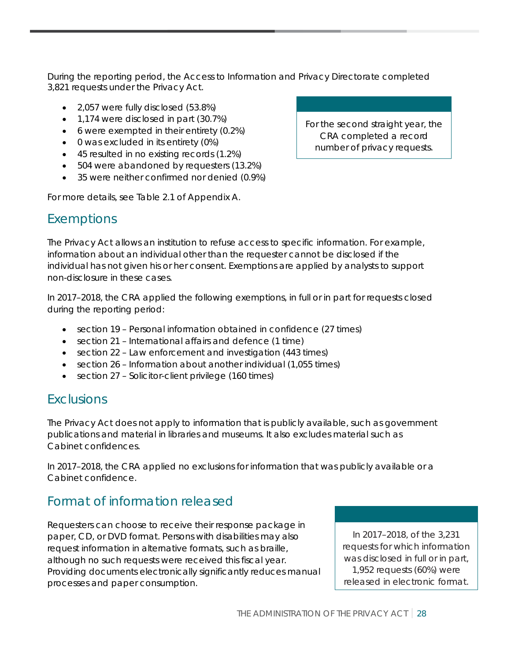During the reporting period, the Access to Information and Privacy Directorate completed 3,821 requests under the Privacy Act.

- 2,057 were fully disclosed (53.8%)
- 1,174 were disclosed in part (30.7%)
- 6 were exempted in their entirety (0.2%)
- 0 was excluded in its entirety (0%)
- 45 resulted in no existing records (1.2%)
- 504 were abandoned by requesters (13.2%)
- 35 were neither confirmed nor denied (0.9%)

For more details, see Table 2.1 of Appendix A.

#### Exemptions

The Privacy Act allows an institution to refuse access to specific information. For example, information about an individual other than the requester cannot be disclosed if the individual has not given his or her consent. Exemptions are applied by analysts to support non-disclosure in these cases.

In 2017–2018, the CRA applied the following exemptions, in full or in part for requests closed during the reporting period:

- section 19 Personal information obtained in confidence (27 times)
- section 21 International affairs and defence (1 time)
- section 22 Law enforcement and investigation (443 times)
- section 26 Information about another individual (1,055 times)
- section 27 Solicitor-client privilege (160 times)

#### **Exclusions**

The Privacy Act does not apply to information that is publicly available, such as government publications and material in libraries and museums. It also excludes material such as Cabinet confidences.

In 2017–2018, the CRA applied no exclusions for information that was publicly available or a Cabinet confidence.

## Format of information released

Requesters can choose to receive their response package in paper, CD, or DVD format. Persons with disabilities may also request information in alternative formats, such as braille, although no such requests were received this fiscal year. Providing documents electronically significantly reduces manual processes and paper consumption.

In 2017–2018, of the 3,231 requests for which information was disclosed in full or in part, 1,952 requests (60%) were released in electronic format.

For the second straight year, the CRA completed a record number of privacy requests.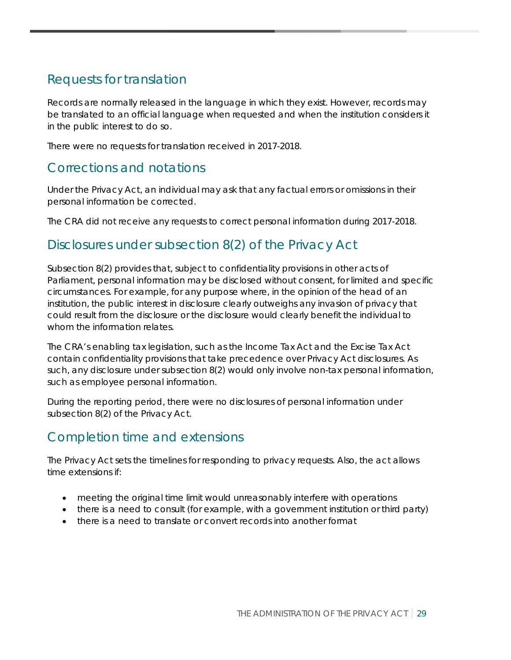## Requests for translation

Records are normally released in the language in which they exist. However, records may be translated to an official language when requested and when the institution considers it in the public interest to do so.

There were no requests for translation received in 2017-2018.

### Corrections and notations

Under the Privacy Act, an individual may ask that any factual errors or omissions in their personal information be corrected.

The CRA did not receive any requests to correct personal information during 2017-2018.

### Disclosures under subsection 8(2) of the Privacy Act

Subsection 8(2) provides that, subject to confidentiality provisions in other acts of Parliament, personal information may be disclosed without consent, for limited and specific circumstances. For example, for any purpose where, in the opinion of the head of an institution, the public interest in disclosure clearly outweighs any invasion of privacy that could result from the disclosure or the disclosure would clearly benefit the individual to whom the information relates.

The CRA's enabling tax legislation, such as the Income Tax Act and the Excise Tax Act contain confidentiality provisions that take precedence over Privacy Act disclosures. As such, any disclosure under subsection 8(2) would only involve non-tax personal information, such as employee personal information.

During the reporting period, there were no disclosures of personal information under subsection 8(2) of the Privacy Act.

## Completion time and extensions

The Privacy Act sets the timelines for responding to privacy requests. Also, the act allows time extensions if:

- meeting the original time limit would unreasonably interfere with operations
- there is a need to consult (for example, with a government institution or third party)
- there is a need to translate or convert records into another format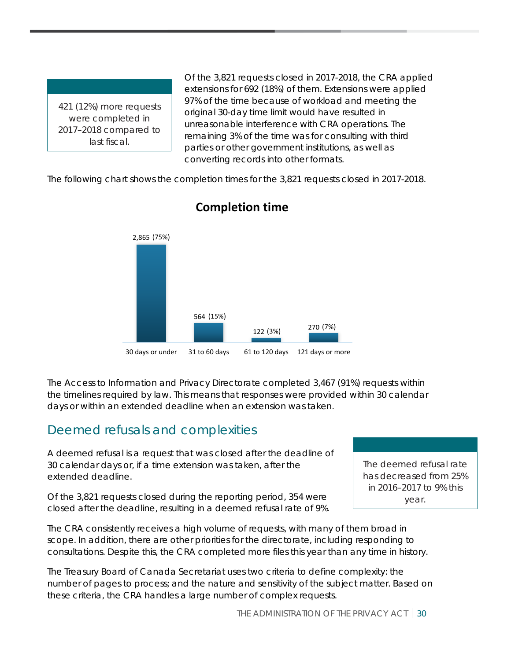421 (12%) more requests were completed in 2017–2018 compared to last fiscal.

Of the 3,821 requests closed in 2017-2018, the CRA applied extensions for 692 (18%) of them. Extensions were applied 97% of the time because of workload and meeting the original 30-day time limit would have resulted in unreasonable interference with CRA operations. The remaining 3% of the time was for consulting with third parties or other government institutions, as well as converting records into other formats.

The following chart shows the completion times for the 3,821 requests closed in 2017-2018.



### **Completion time**

The Access to Information and Privacy Directorate completed 3,467 (91%) requests within the timelines required by law. This means that responses were provided within 30 calendar days or within an extended deadline when an extension was taken.

### Deemed refusals and complexities

A deemed refusal is a request that was closed after the deadline of 30 calendar days or, if a time extension was taken, after the extended deadline.

Of the 3,821 requests closed during the reporting period, 354 were closed after the deadline, resulting in a deemed refusal rate of 9%.

The deemed refusal rate has decreased from 25% in 2016–2017 to 9% this year.

The CRA consistently receives a high volume of requests, with many of them broad in scope. In addition, there are other priorities for the directorate, including responding to consultations. Despite this, the CRA completed more files this year than any time in history.

The Treasury Board of Canada Secretariat uses two criteria to define complexity: the number of pages to process; and the nature and sensitivity of the subject matter. Based on these criteria, the CRA handles a large number of complex requests.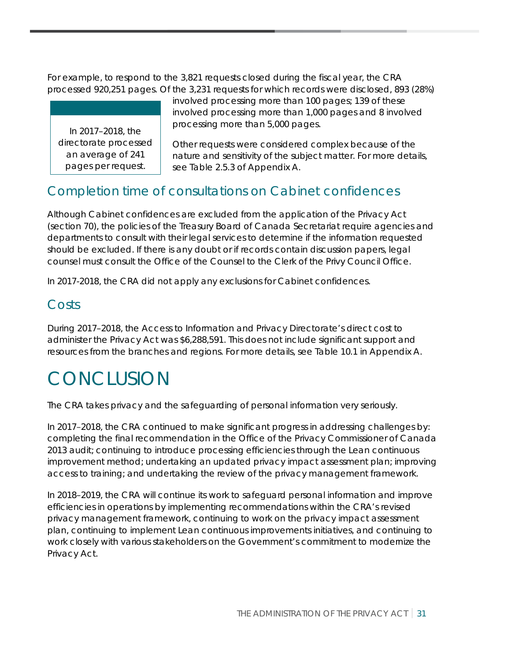For example, to respond to the 3,821 requests closed during the fiscal year, the CRA processed 920,251 pages. Of the 3,231 requests for which records were disclosed, 893 (28%)

In 2017–2018, the directorate processed an average of 241 pages per request.

involved processing more than 100 pages; 139 of these involved processing more than 1,000 pages and 8 involved processing more than 5,000 pages.

Other requests were considered complex because of the nature and sensitivity of the subject matter. For more details, see Table 2.5.3 of Appendix A.

## Completion time of consultations on Cabinet confidences

Although Cabinet confidences are excluded from the application of the Privacy Act (section 70), the policies of the Treasury Board of Canada Secretariat require agencies and departments to consult with their legal services to determine if the information requested should be excluded. If there is any doubt or if records contain discussion papers, legal counsel must consult the Office of the Counsel to the Clerk of the Privy Council Office.

In 2017-2018, the CRA did not apply any exclusions for Cabinet confidences.

### Costs

During 2017–2018, the Access to Information and Privacy Directorate's direct cost to administer the Privacy Act was \$6,288,591. This does not include significant support and resources from the branches and regions. For more details, see Table 10.1 in Appendix A.

## <span id="page-31-0"></span>**CONCLUSION**

The CRA takes privacy and the safeguarding of personal information very seriously.

In 2017–2018, the CRA continued to make significant progress in addressing challenges by: completing the final recommendation in the Office of the Privacy Commissioner of Canada 2013 audit; continuing to introduce processing efficiencies through the Lean continuous improvement method; undertaking an updated privacy impact assessment plan; improving access to training; and undertaking the review of the privacy management framework.

In 2018–2019, the CRA will continue its work to safeguard personal information and improve efficiencies in operations by implementing recommendations within the CRA's revised privacy management framework, continuing to work on the privacy impact assessment plan, continuing to implement Lean continuous improvements initiatives, and continuing to work closely with various stakeholders on the Government's commitment to modernize the Privacy Act.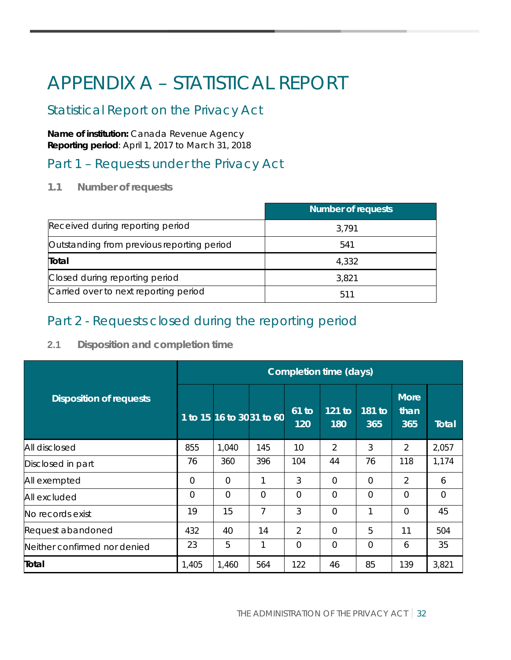## <span id="page-32-0"></span>APPENDIX A – STATISTICAL REPORT

## Statistical Report on the Privacy Act

**Name of institution:** Canada Revenue Agency **Reporting period**: April 1, 2017 to March 31, 2018

### Part 1 – Requests under the Privacy Act

**1.1 Number of requests**

|                                            | <b>Number of requests</b> |  |  |
|--------------------------------------------|---------------------------|--|--|
| Received during reporting period           | 3.791                     |  |  |
| Outstanding from previous reporting period | 541                       |  |  |
| Total                                      | 4,332                     |  |  |
| Closed during reporting period             | 3,821                     |  |  |
| Carried over to next reporting period      | 511                       |  |  |

## Part 2 - Requests closed during the reporting period

#### **2.1 Disposition and completion time**

|                                | <b>Completion time (days)</b> |                          |                |                |                 |               |                            |              |
|--------------------------------|-------------------------------|--------------------------|----------------|----------------|-----------------|---------------|----------------------------|--------------|
| <b>Disposition of requests</b> |                               | 1 to 15 16 to 3031 to 60 |                | $61$ to<br>120 | $121$ to<br>180 | 181 to<br>365 | <b>More</b><br>than<br>365 | <b>Total</b> |
| All disclosed                  | 855                           | 1,040                    | 145            | 10             | 2               | 3             | 2                          | 2,057        |
| Disclosed in part              | 76                            | 360                      | 396            | 104            | 44              | 76            | 118                        | 1,174        |
| All exempted                   | $\Omega$                      | $\overline{0}$           | 1              | 3              | $\overline{0}$  | $\Omega$      | $\overline{2}$             | 6            |
| All excluded                   | $\overline{0}$                | $\Omega$                 | $\overline{0}$ | $\mathbf 0$    | $\Omega$        | $\Omega$      | $\Omega$                   | 0            |
| No records exist               | 19                            | 15                       | 7              | 3              | $\overline{0}$  | $\mathbf{1}$  | $\overline{0}$             | 45           |
| Request abandoned              | 432                           | 40                       | 14             | 2              | $\overline{0}$  | 5             | 11                         | 504          |
| Neither confirmed nor denied   | 23                            | 5                        | 1              | $\Omega$       | 0               | $\Omega$      | 6                          | 35           |
| Total                          | 1,405                         | 1,460                    | 564            | 122            | 46              | 85            | 139                        | 3,821        |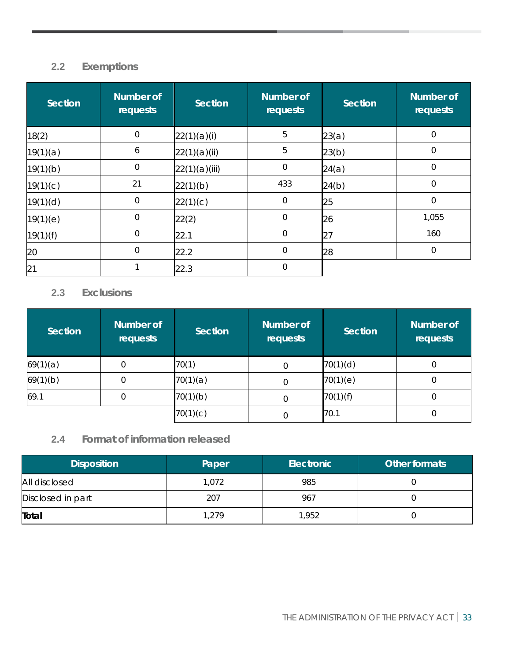### **2.2 Exemptions**

| <b>Section</b> | <b>Number of</b><br>requests | <b>Section</b> | <b>Number of</b><br>requests | <b>Section</b> | <b>Number of</b><br>requests |
|----------------|------------------------------|----------------|------------------------------|----------------|------------------------------|
| 18(2)          | $\mathbf 0$                  | 22(1)(a)(i)    | 5                            | 23(a)          | $\mathbf 0$                  |
| 19(1)(a)       | 6                            | 22(1)(a)(ii)   | 5                            | 23(b)          | 0                            |
| 19(1)(b)       | $\mathbf 0$                  | 22(1)(a)(iii)  | $\Omega$                     | 24(a)          | 0                            |
| 19(1)(c)       | 21                           | 22(1)(b)       | 433                          | 24(b)          | $\mathbf 0$                  |
| 19(1)(d)       | $\mathbf 0$                  | 22(1)(c)       | $\mathbf 0$                  | 25             | $\mathbf 0$                  |
| 19(1)(e)       | $\mathbf 0$                  | 22(2)          | $\mathbf 0$                  | 26             | 1,055                        |
| 19(1)(f)       | $\mathbf 0$                  | 22.1           | $\mathbf 0$                  | 27             | 160                          |
| 20             | $\Omega$                     | 22.2           | $\overline{0}$               | 28             | 0                            |
| 21             |                              | 22.3           | $\Omega$                     |                |                              |

#### **2.3 Exclusions**

| Section  | Number of<br>requests | Section  | <b>Number of</b><br><b>requests</b> | <b>Section</b> | <b>Number of</b><br>requests |
|----------|-----------------------|----------|-------------------------------------|----------------|------------------------------|
| 69(1)(a) |                       | 70(1)    |                                     | 70(1)(d)       | 0                            |
| 69(1)(b) |                       | 70(1)(a) |                                     | 70(1)(e)       | U                            |
| 69.1     |                       | 70(1)(b) |                                     | 70(1)(f)       | 0                            |
|          |                       | 70(1)(c) |                                     | 70.1           | 0                            |

### **2.4 Format of information released**

| <b>Disposition</b> | Paper | Electronic | Other formats |
|--------------------|-------|------------|---------------|
| All disclosed      | 1,072 | 985        |               |
| Disclosed in part  | 207   | 967        |               |
| Total              | 1.279 | 1,952      |               |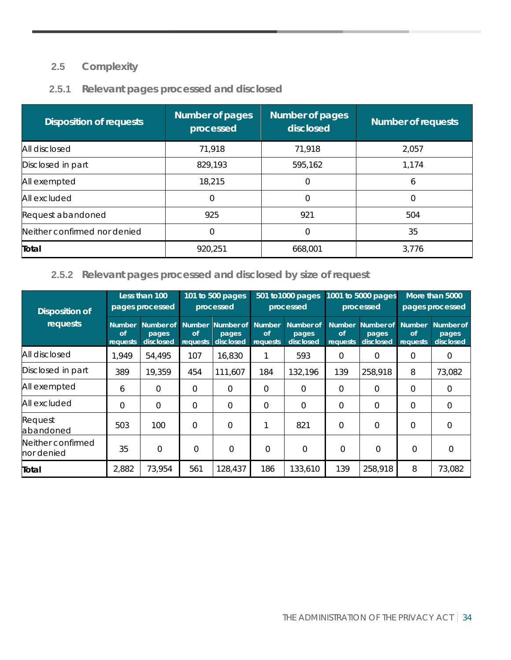### **2.5 Complexity**

#### **2.5.1 Relevant pages processed and disclosed**

| <b>Disposition of requests</b> | <b>Number of pages</b><br>processed | <b>Number of pages</b><br>disclosed | <b>Number of requests</b> |
|--------------------------------|-------------------------------------|-------------------------------------|---------------------------|
| All disclosed                  | 71,918                              | 71,918                              | 2,057                     |
| Disclosed in part              | 829,193                             | 595,162                             | 1,174                     |
| All exempted                   | 18,215                              | Ο                                   | 6                         |
| All excluded                   | 0                                   |                                     |                           |
| Request abandoned              | 925                                 | 921                                 | 504                       |
| Neither confirmed nor denied   | 0                                   |                                     | 35                        |
| Total                          | 920,251                             | 668,001                             | 3,776                     |

#### **2.5.2 Relevant pages processed and disclosed by size of request**

| <b>Disposition of</b>           |                                 | Less than 100<br>pages processed | 101 to 500 pages<br>processed   |                                 | 501 to 1000 pages<br>processed  |                                 | 1001 to 5000 pages<br>processed        |                                 | More than 5000<br>pages processed      |                                 |
|---------------------------------|---------------------------------|----------------------------------|---------------------------------|---------------------------------|---------------------------------|---------------------------------|----------------------------------------|---------------------------------|----------------------------------------|---------------------------------|
| requests                        | <b>Number</b><br>of<br>requests | Number of<br>pages<br>disclosed  | <b>Number</b><br>of<br>requests | Number of<br>pages<br>disclosed | <b>Number</b><br>of<br>requests | Number of<br>pages<br>disclosed | <b>Number</b><br><b>of</b><br>requests | Number of<br>pages<br>disclosed | <b>Number</b><br>of<br><b>requests</b> | Number of<br>pages<br>disclosed |
| All disclosed                   | 1,949                           | 54,495                           | 107                             | 16,830                          |                                 | 593                             | 0                                      | 0                               | 0                                      | 0                               |
| Disclosed in part               | 389                             | 19,359                           | 454                             | 111.607                         | 184                             | 132,196                         | 139                                    | 258,918                         | 8                                      | 73,082                          |
| All exempted                    | 6                               | $\Omega$                         | $\Omega$                        | $\Omega$                        | $\Omega$                        | $\Omega$                        | $\Omega$                               | $\Omega$                        | $\Omega$                               | $\Omega$                        |
| All excluded                    | $\Omega$                        | $\Omega$                         | $\Omega$                        | $\mathbf 0$                     | $\Omega$                        | $\Omega$                        | $\Omega$                               | $\Omega$                        | $\Omega$                               | $\Omega$                        |
| Request<br>abandoned            | 503                             | 100                              | $\Omega$                        | $\Omega$                        |                                 | 821                             | $\Omega$                               | $\Omega$                        | $\Omega$                               | $\Omega$                        |
| Neither confirmed<br>nor denied | 35                              | $\Omega$                         | $\Omega$                        | $\Omega$                        | $\Omega$                        | $\Omega$                        | $\Omega$                               | $\Omega$                        | $\Omega$                               | $\Omega$                        |
| Total                           | 2,882                           | 73,954                           | 561                             | 128,437                         | 186                             | 133,610                         | 139                                    | 258,918                         | 8                                      | 73,082                          |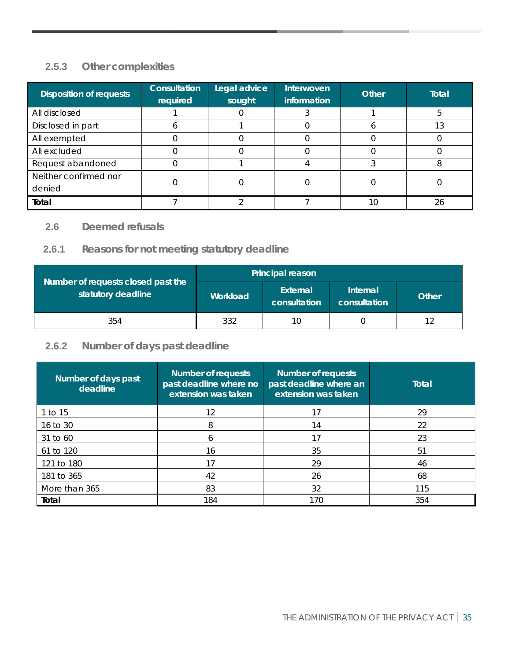### **2.5.3 Other complexities**

| <b>Disposition of requests</b> | <b>Consultation</b><br>required | Legal advice<br>sought | Interwoven<br>information | <b>Other</b> | <b>Total</b> |
|--------------------------------|---------------------------------|------------------------|---------------------------|--------------|--------------|
| All disclosed                  |                                 |                        |                           |              |              |
| Disclosed in part              |                                 |                        |                           |              |              |
| All exempted                   |                                 |                        |                           |              |              |
| All excluded                   |                                 |                        |                           |              |              |
| Request abandoned              |                                 |                        |                           |              |              |
| Neither confirmed nor          |                                 |                        |                           |              |              |
| denied                         |                                 |                        |                           |              |              |
| Total                          |                                 |                        |                           | 10           | 26           |

#### **2.6 Deemed refusals**

#### **2.6.1 Reasons for not meeting statutory deadline**

|                                                          | <b>Principal reason</b> |                          |                          |       |  |  |
|----------------------------------------------------------|-------------------------|--------------------------|--------------------------|-------|--|--|
| Number of requests closed past the<br>statutory deadline | Workload                | External<br>consultation | Internal<br>consultation | Other |  |  |
| 354                                                      | 332                     | 10                       |                          |       |  |  |

### **2.6.2 Number of days past deadline**

| Number of days past<br>deadline | <b>Number of requests</b><br>past deadline where no<br>extension was taken | <b>Number of requests</b><br>past deadline where an<br>extension was taken | <b>Total</b> |
|---------------------------------|----------------------------------------------------------------------------|----------------------------------------------------------------------------|--------------|
| 1 to 15                         | 12                                                                         | 17                                                                         | 29           |
| 16 to 30                        | 8                                                                          | 14                                                                         | 22           |
| 31 to 60                        | 6                                                                          | 17                                                                         | 23           |
| 61 to 120                       | 16                                                                         | 35                                                                         | 51           |
| 121 to 180                      | 17                                                                         | 29                                                                         | 46           |
| 181 to 365                      | 42                                                                         | 26                                                                         | 68           |
| More than 365                   | 83                                                                         | 32                                                                         | 115          |
| Total                           | 184                                                                        | 170                                                                        | 354          |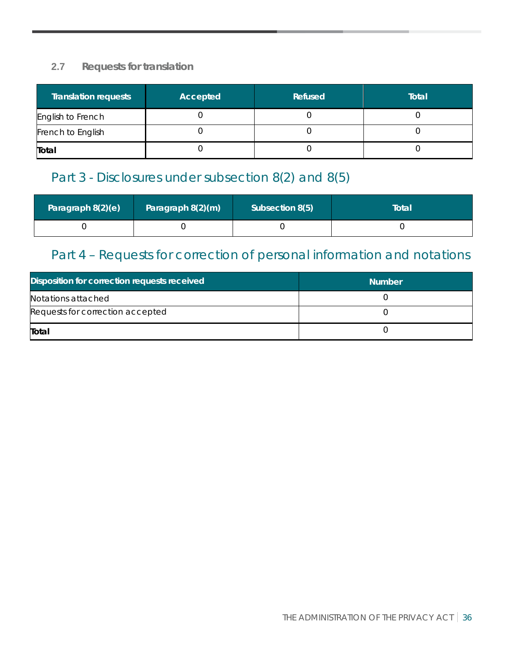#### **2.7 Requests for translation**

| <b>Translation requests</b> | Accepted | Refused | Total |
|-----------------------------|----------|---------|-------|
| English to French           |          |         |       |
| French to English           |          |         |       |
| Total                       |          |         |       |

## Part 3 - Disclosures under subsection 8(2) and 8(5)

| Paragraph 8(2)(e) | Paragraph 8(2)(m) | Subsection 8(5) | Total |
|-------------------|-------------------|-----------------|-------|
|                   |                   |                 |       |

## Part 4 – Requests for correction of personal information and notations

| Disposition for correction requests received | <b>Number</b> |
|----------------------------------------------|---------------|
| Notations attached                           |               |
| Requests for correction accepted             |               |
| Total                                        |               |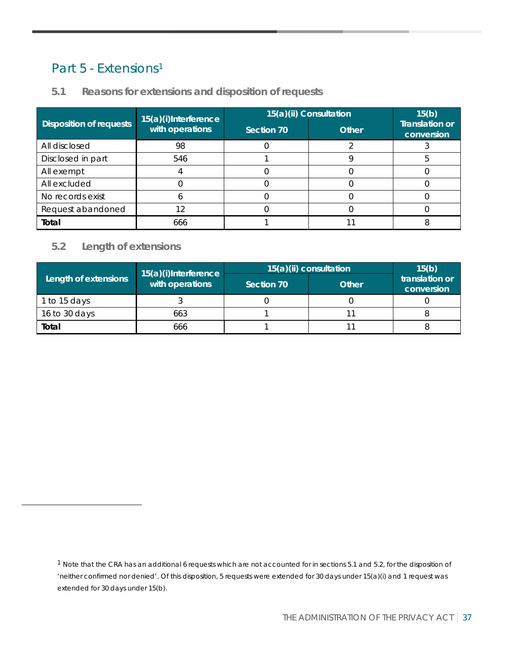### Part 5 - Extensions<sup>[1](#page-37-0)</sup>

|                                | 15(a)(i)Interference | 15(a)(ii) Consultation | 15(b)        |                                     |
|--------------------------------|----------------------|------------------------|--------------|-------------------------------------|
| <b>Disposition of requests</b> | with operations      | Section 70             | <b>Other</b> | <b>Translation or</b><br>conversion |
| All disclosed                  | 98                   |                        |              |                                     |
| Disclosed in part              | 546                  |                        |              |                                     |
| All exempt                     |                      |                        |              |                                     |
| All excluded                   |                      |                        |              |                                     |
| No records exist               |                      |                        |              |                                     |
| Request abandoned              |                      |                        |              |                                     |
| Total                          | 666                  |                        |              |                                     |

#### **5.1 Reasons for extensions and disposition of requests**

#### **5.2 Length of extensions**

|                      | 15(a)(i)Interference | $15(a)(ii)$ consultation | 15(b)        |                              |
|----------------------|----------------------|--------------------------|--------------|------------------------------|
| Length of extensions | with operations      | Section 70               | <b>Other</b> | translation or<br>conversion |
| 1 to 15 days         |                      |                          |              |                              |
| 16 to 30 days        | 663                  |                          |              |                              |
| Total                | 666                  |                          |              |                              |

<span id="page-37-0"></span><sup>1</sup> Note that the CRA has an additional 6 requests which are not accounted for in sections 5.1 and 5.2, for the disposition of 'neither confirmed nor denied'. Of this disposition, 5 requests were extended for 30 days under 15(a)(i) and 1 request was extended for 30 days under 15(b).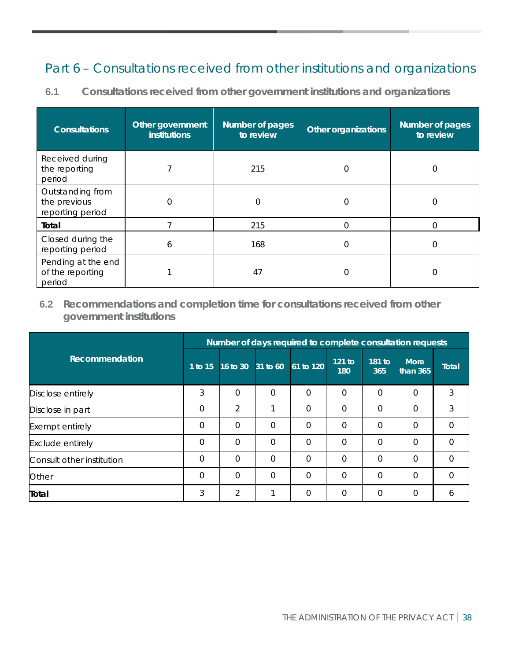## Part 6 – Consultations received from other institutions and organizations

**6.1 Consultations received from other government institutions and organizations**

| <b>Consultations</b>                                 | Other government<br><b>institutions</b> | Number of pages<br>to review | <b>Other organizations</b> | Number of pages<br>to review |
|------------------------------------------------------|-----------------------------------------|------------------------------|----------------------------|------------------------------|
| Received during<br>the reporting<br>period           |                                         | 215                          | 0                          | 0                            |
| Outstanding from<br>the previous<br>reporting period | 0                                       | $\Omega$                     | 0                          | Ω                            |
| Total                                                |                                         | 215                          | 0                          |                              |
| Closed during the<br>reporting period                | 6                                       | 168                          | 0                          | 0                            |
| Pending at the end<br>of the reporting<br>period     |                                         | 47                           |                            |                              |

**6.2 Recommendations and completion time for consultations received from other government institutions**

|                           | Number of days required to complete consultation requests |                   |          |             |                 |               |                           |              |  |
|---------------------------|-----------------------------------------------------------|-------------------|----------|-------------|-----------------|---------------|---------------------------|--------------|--|
| Recommendation            | 1 to 15                                                   | 16 to 30 31 to 60 |          | $61$ to 120 | $121$ to<br>180 | 181 to<br>365 | <b>More</b><br>than $365$ | <b>Total</b> |  |
| Disclose entirely         | 3                                                         | $\Omega$          | $\Omega$ | $\Omega$    | $\Omega$        | $\Omega$      | $\Omega$                  | 3            |  |
| Disclose in part          | $\Omega$                                                  | 2                 |          | $\Omega$    | $\Omega$        | $\Omega$      | $\overline{0}$            | 3            |  |
| Exempt entirely           | $\Omega$                                                  | $\Omega$          | $\Omega$ | $\Omega$    | $\Omega$        | $\Omega$      | $\Omega$                  | $\Omega$     |  |
| <b>Exclude entirely</b>   | $\Omega$                                                  | $\Omega$          | $\Omega$ | $\Omega$    | $\Omega$        | $\Omega$      | $\Omega$                  | $\Omega$     |  |
| Consult other institution | $\Omega$                                                  | $\Omega$          | $\Omega$ | $\Omega$    | $\Omega$        | $\Omega$      | $\Omega$                  | $\Omega$     |  |
| Other                     | $\Omega$                                                  | $\Omega$          | $\Omega$ | $\Omega$    | $\Omega$        | $\Omega$      | $\Omega$                  | $\Omega$     |  |
| Total                     | 3                                                         | 2                 |          | $\Omega$    | $\Omega$        | $\Omega$      | $\Omega$                  | 6            |  |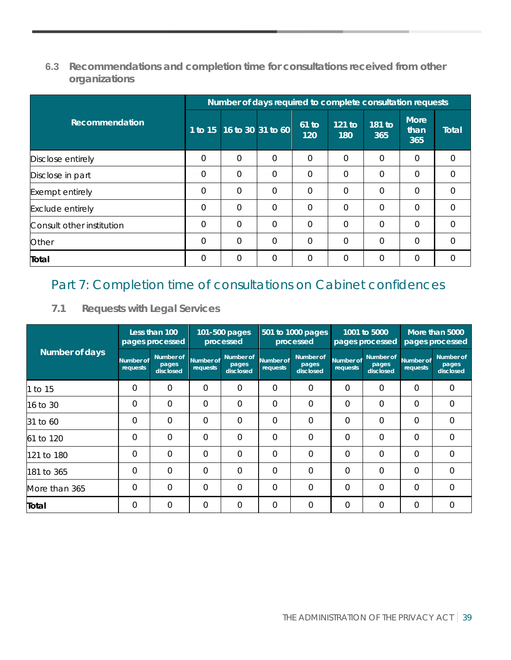#### **6.3 Recommendations and completion time for consultations received from other organizations**

|                           | Number of days required to complete consultation requests |                   |             |                |                 |               |                     |              |  |
|---------------------------|-----------------------------------------------------------|-------------------|-------------|----------------|-----------------|---------------|---------------------|--------------|--|
| Recommendation            | $\overline{1}$ to 15                                      | 16 to 30 31 to 60 |             | $61$ to<br>120 | $121$ to<br>180 | 181 to<br>365 | More<br>than<br>365 | <b>Total</b> |  |
| Disclose entirely         | $\Omega$                                                  | $\Omega$          | $\Omega$    | $\Omega$       | $\Omega$        | $\Omega$      | $\Omega$            | $\Omega$     |  |
| Disclose in part          | $\Omega$                                                  | $\Omega$          | $\Omega$    | $\Omega$       | $\Omega$        | $\Omega$      | $\Omega$            | $\Omega$     |  |
| <b>Exempt entirely</b>    | $\Omega$                                                  | $\Omega$          | $\Omega$    | $\overline{0}$ | $\Omega$        | $\Omega$      | $\mathbf 0$         | $\Omega$     |  |
| <b>Exclude entirely</b>   | $\overline{0}$                                            | $\Omega$          | $\Omega$    | $\Omega$       | $\Omega$        | $\Omega$      | $\Omega$            | $\Omega$     |  |
| Consult other institution | $\Omega$                                                  | $\Omega$          | $\Omega$    | $\Omega$       | $\overline{0}$  | $\Omega$      | $\overline{0}$      | $\Omega$     |  |
| Other                     | $\overline{0}$                                            | $\mathbf 0$       | $\mathbf 0$ | $\mathbf 0$    | $\mathbf 0$     | $\Omega$      | $\overline{0}$      | 0            |  |
| Total                     | $\Omega$                                                  | $\Omega$          | $\Omega$    | $\Omega$       | $\Omega$        | $\Omega$      | $\overline{0}$      | $\Omega$     |  |

## Part 7: Completion time of consultations on Cabinet confidences

#### **7.1 Requests with Legal Services**

|                |                              | Less than 100<br>pages processed | 101-500 pages<br>processed |                                 | 501 to 1000 pages<br>processed |                                 | 1001 to 5000<br>pages processed |                                 | More than 5000<br>pages processed |                                 |
|----------------|------------------------------|----------------------------------|----------------------------|---------------------------------|--------------------------------|---------------------------------|---------------------------------|---------------------------------|-----------------------------------|---------------------------------|
| Number of days | <b>Number of</b><br>requests | Number of<br>pages<br>disclosed  | Number of<br>requests      | Number of<br>pages<br>disclosed | Number of<br>requests          | Number of<br>pages<br>disclosed | Number of<br>requests           | Number of<br>pages<br>disclosed | Number of<br>requests             | Number of<br>pages<br>disclosed |
| 1 to 15        | $\Omega$                     | $\Omega$                         | $\Omega$                   | $\Omega$                        | $\Omega$                       | $\Omega$                        | $\Omega$                        | $\Omega$                        | $\Omega$                          | $\Omega$                        |
| 16 to 30       | $\Omega$                     | $\mathbf 0$                      | $\Omega$                   | $\Omega$                        | $\Omega$                       | $\Omega$                        | $\Omega$                        | $\Omega$                        | $\Omega$                          | $\Omega$                        |
| 31 to 60       | $\Omega$                     | 0                                | $\Omega$                   | $\Omega$                        | $\Omega$                       | $\Omega$                        | $\Omega$                        | $\Omega$                        | $\Omega$                          | $\overline{0}$                  |
| 61 to 120      | $\Omega$                     | $\overline{0}$                   | $\overline{0}$             | $\Omega$                        | $\Omega$                       | $\overline{0}$                  | $\Omega$                        | $\Omega$                        | $\Omega$                          | $\Omega$                        |
| l121 to 180    | $\Omega$                     | $\Omega$                         | $\Omega$                   | $\Omega$                        | $\Omega$                       | $\Omega$                        | $\Omega$                        | $\Omega$                        | $\Omega$                          | $\Omega$                        |
| 181 to 365     | $\Omega$                     | $\Omega$                         | $\Omega$                   | $\Omega$                        | $\Omega$                       | $\Omega$                        | $\Omega$                        | $\Omega$                        | $\Omega$                          | $\overline{0}$                  |
| More than 365  | $\Omega$                     | $\Omega$                         | $\Omega$                   | $\Omega$                        | $\Omega$                       | $\Omega$                        | $\Omega$                        | $\Omega$                        | $\Omega$                          | $\Omega$                        |
| Total          | $\Omega$                     | $\Omega$                         | $\Omega$                   | $\Omega$                        | $\Omega$                       | $\Omega$                        | $\Omega$                        | $\overline{0}$                  | $\Omega$                          | $\Omega$                        |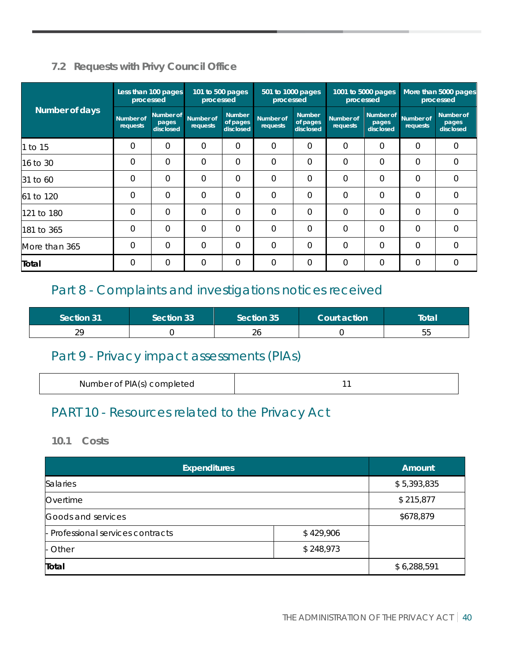### **7.2 Requests with Privy Council Office**

|                | processed             | Less than 100 pages             | 101 to 500 pages<br>processed |                                        | 501 to 1000 pages<br>processed |                                        | processed             | 1001 to 5000 pages              |                              | More than 5000 pages<br>processed |
|----------------|-----------------------|---------------------------------|-------------------------------|----------------------------------------|--------------------------------|----------------------------------------|-----------------------|---------------------------------|------------------------------|-----------------------------------|
| Number of days | Number of<br>requests | Number of<br>pages<br>disclosed | Number of<br><b>requests</b>  | <b>Number</b><br>of pages<br>disclosed | Number of<br>requests          | <b>Number</b><br>of pages<br>disclosed | Number of<br>requests | Number of<br>pages<br>disclosed | <b>Number of</b><br>requests | Number of<br>pages<br>disclosed   |
| 1 to 15        | $\Omega$              | 0                               | $\Omega$                      | $\Omega$                               | $\Omega$                       | $\Omega$                               | $\Omega$              | $\Omega$                        | $\Omega$                     | $\mathbf 0$                       |
| 16 to 30       | 0                     | 0                               | $\Omega$                      | $\Omega$                               | $\Omega$                       | $\Omega$                               | 0                     | 0                               | $\Omega$                     | $\overline{0}$                    |
| 31 to 60       | $\Omega$              | $\Omega$                        | $\Omega$                      | $\Omega$                               | $\Omega$                       | $\Omega$                               | $\Omega$              | $\Omega$                        | $\Omega$                     | $\Omega$                          |
| 61 to 120      | $\Omega$              | 0                               | $\Omega$                      | $\Omega$                               | $\Omega$                       | $\Omega$                               | $\Omega$              | $\Omega$                        | $\Omega$                     | $\Omega$                          |
| 121 to 180     | 0                     | 0                               | $\Omega$                      | 0                                      | $\Omega$                       | $\Omega$                               | $\Omega$              | 0                               | 0                            | $\mathbf 0$                       |
| 181 to 365     | $\Omega$              | 0                               | $\Omega$                      | $\Omega$                               | $\Omega$                       | $\Omega$                               | $\Omega$              | $\Omega$                        | $\Omega$                     | $\Omega$                          |
| More than 365  | $\Omega$              | 0                               | $\Omega$                      | $\Omega$                               | $\Omega$                       | $\Omega$                               | $\Omega$              | $\Omega$                        | 0                            | $\Omega$                          |
| Total          | $\Omega$              | 0                               | 0                             | 0                                      | $\mathbf 0$                    | $\mathbf 0$                            | 0                     | 0                               | 0                            | $\Omega$                          |

## Part 8 - Complaints and investigations notices received

| Section 31     | Section 331 | Section 35 | Court action | Total |
|----------------|-------------|------------|--------------|-------|
| ററ<br><u>.</u> |             | ۷O         |              | ხხ    |

## Part 9 - Privacy impact assessments (PIAs)

| Number of PIA(s) completed |  |
|----------------------------|--|
|----------------------------|--|

## PART 10 - Resources related to the Privacy Act

#### **10.1 Costs**

| <b>Expenditures</b>               |           | <b>Amount</b> |
|-----------------------------------|-----------|---------------|
| <b>Salaries</b>                   |           | \$5,393,835   |
| Overtime                          |           | \$215,877     |
| Goods and services                |           | \$678,879     |
| - Professional services contracts | \$429,906 |               |
| - Other                           | \$248,973 |               |
| Total                             |           | \$6,288,591   |